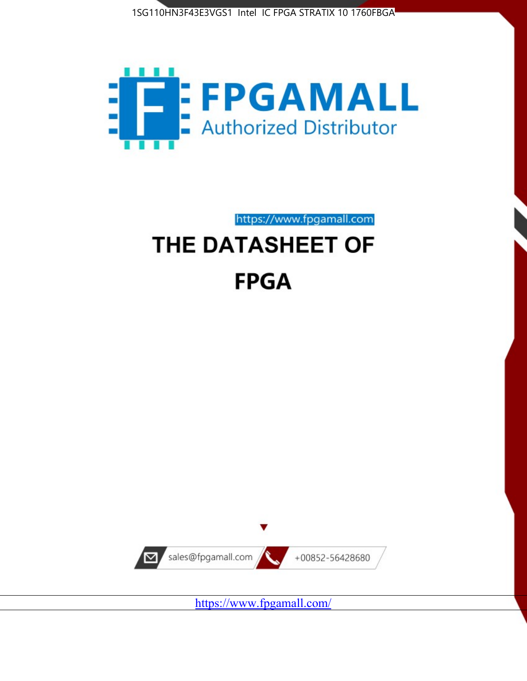1SG110HN3F43E3VGS1 Intel IC FPGA STRATIX 10 1760FBGA



https://www.fpgamall.com

# THE DATASHEET OF **FPGA**



<https://www.fpgamall.com/>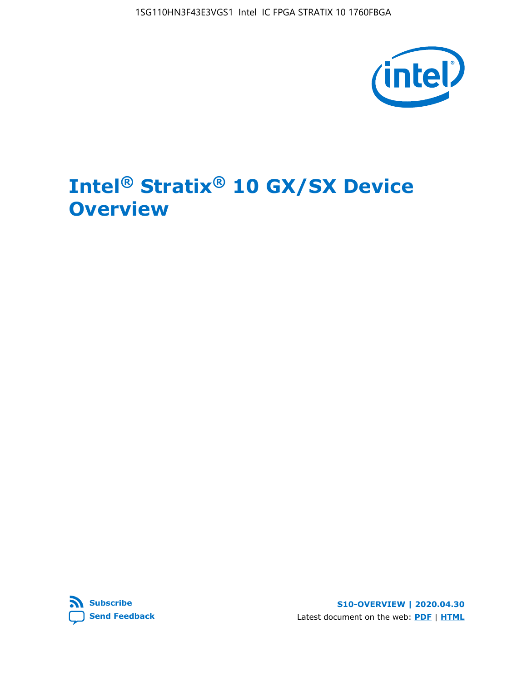1SG110HN3F43E3VGS1 Intel IC FPGA STRATIX 10 1760FBGA



# **Intel® Stratix® 10 GX/SX Device Overview**



**S10-OVERVIEW | 2020.04.30** Latest document on the web: **[PDF](https://www.intel.com/content/dam/www/programmable/us/en/pdfs/literature/hb/stratix-10/s10-overview.pdf)** | **[HTML](https://www.intel.com/content/www/us/en/programmable/documentation/joc1442261161666.html)**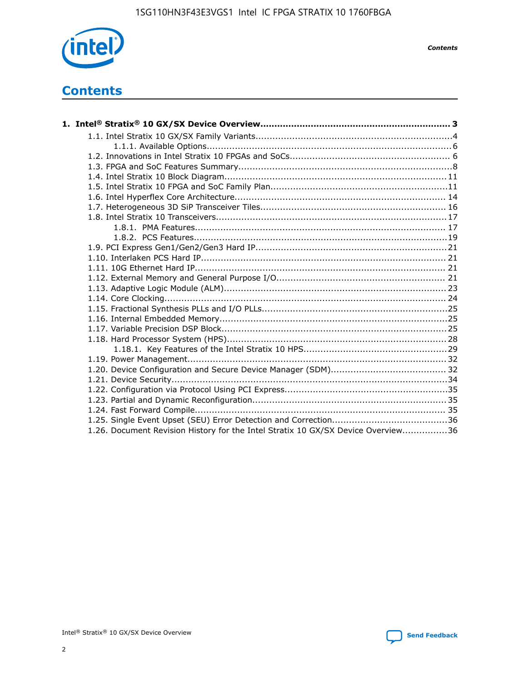

*Contents*

# **Contents**

| 1.26. Document Revision History for the Intel Stratix 10 GX/SX Device Overview36 |  |
|----------------------------------------------------------------------------------|--|

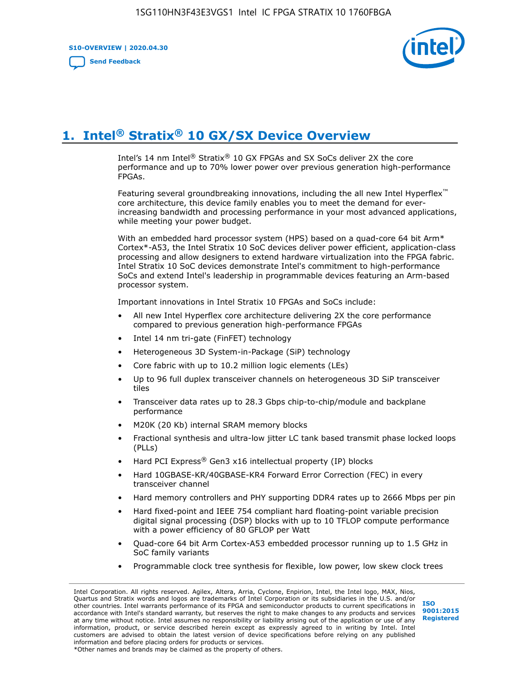**S10-OVERVIEW | 2020.04.30**

**[Send Feedback](mailto:FPGAtechdocfeedback@intel.com?subject=Feedback%20on%20Intel%20Stratix%2010%20GX/SX%20Device%20Overview%20(S10-OVERVIEW%202020.04.30)&body=We%20appreciate%20your%20feedback.%20In%20your%20comments,%20also%20specify%20the%20page%20number%20or%20paragraph.%20Thank%20you.)**



# **1. Intel® Stratix® 10 GX/SX Device Overview**

Intel's 14 nm Intel® Stratix® 10 GX FPGAs and SX SoCs deliver 2X the core performance and up to 70% lower power over previous generation high-performance FPGAs.

Featuring several groundbreaking innovations, including the all new Intel Hyperflex™ core architecture, this device family enables you to meet the demand for everincreasing bandwidth and processing performance in your most advanced applications, while meeting your power budget.

With an embedded hard processor system (HPS) based on a quad-core 64 bit Arm\* Cortex\*-A53, the Intel Stratix 10 SoC devices deliver power efficient, application-class processing and allow designers to extend hardware virtualization into the FPGA fabric. Intel Stratix 10 SoC devices demonstrate Intel's commitment to high-performance SoCs and extend Intel's leadership in programmable devices featuring an Arm-based processor system.

Important innovations in Intel Stratix 10 FPGAs and SoCs include:

- All new Intel Hyperflex core architecture delivering 2X the core performance compared to previous generation high-performance FPGAs
- Intel 14 nm tri-gate (FinFET) technology
- Heterogeneous 3D System-in-Package (SiP) technology
- Core fabric with up to 10.2 million logic elements (LEs)
- Up to 96 full duplex transceiver channels on heterogeneous 3D SiP transceiver tiles
- Transceiver data rates up to 28.3 Gbps chip-to-chip/module and backplane performance
- M20K (20 Kb) internal SRAM memory blocks
- Fractional synthesis and ultra-low jitter LC tank based transmit phase locked loops (PLLs)
- Hard PCI Express<sup>®</sup> Gen3 x16 intellectual property (IP) blocks
- Hard 10GBASE-KR/40GBASE-KR4 Forward Error Correction (FEC) in every transceiver channel
- Hard memory controllers and PHY supporting DDR4 rates up to 2666 Mbps per pin
- Hard fixed-point and IEEE 754 compliant hard floating-point variable precision digital signal processing (DSP) blocks with up to 10 TFLOP compute performance with a power efficiency of 80 GFLOP per Watt
- Quad-core 64 bit Arm Cortex-A53 embedded processor running up to 1.5 GHz in SoC family variants
- Programmable clock tree synthesis for flexible, low power, low skew clock trees

Intel Corporation. All rights reserved. Agilex, Altera, Arria, Cyclone, Enpirion, Intel, the Intel logo, MAX, Nios, Quartus and Stratix words and logos are trademarks of Intel Corporation or its subsidiaries in the U.S. and/or other countries. Intel warrants performance of its FPGA and semiconductor products to current specifications in accordance with Intel's standard warranty, but reserves the right to make changes to any products and services at any time without notice. Intel assumes no responsibility or liability arising out of the application or use of any information, product, or service described herein except as expressly agreed to in writing by Intel. Intel customers are advised to obtain the latest version of device specifications before relying on any published information and before placing orders for products or services. \*Other names and brands may be claimed as the property of others.

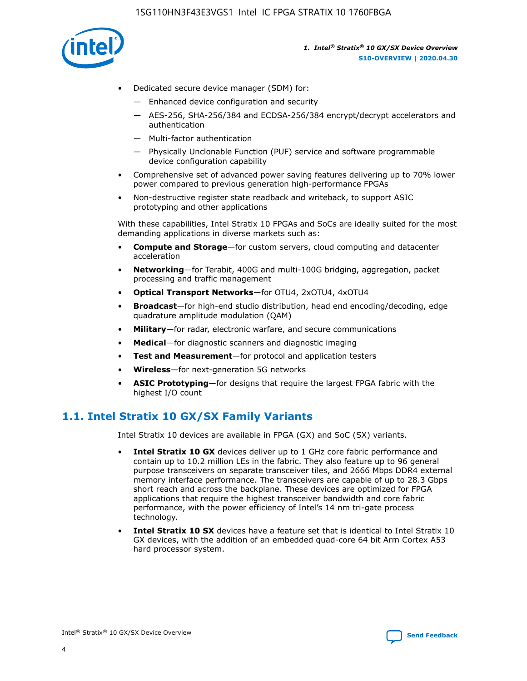

- Dedicated secure device manager (SDM) for:
	- Enhanced device configuration and security
	- AES-256, SHA-256/384 and ECDSA-256/384 encrypt/decrypt accelerators and authentication
	- Multi-factor authentication
	- Physically Unclonable Function (PUF) service and software programmable device configuration capability
- Comprehensive set of advanced power saving features delivering up to 70% lower power compared to previous generation high-performance FPGAs
- Non-destructive register state readback and writeback, to support ASIC prototyping and other applications

With these capabilities, Intel Stratix 10 FPGAs and SoCs are ideally suited for the most demanding applications in diverse markets such as:

- **Compute and Storage**—for custom servers, cloud computing and datacenter acceleration
- **Networking**—for Terabit, 400G and multi-100G bridging, aggregation, packet processing and traffic management
- **Optical Transport Networks**—for OTU4, 2xOTU4, 4xOTU4
- **Broadcast**—for high-end studio distribution, head end encoding/decoding, edge quadrature amplitude modulation (QAM)
- **Military**—for radar, electronic warfare, and secure communications
- **Medical**—for diagnostic scanners and diagnostic imaging
- **Test and Measurement**—for protocol and application testers
- **Wireless**—for next-generation 5G networks
- **ASIC Prototyping**—for designs that require the largest FPGA fabric with the highest I/O count

### **1.1. Intel Stratix 10 GX/SX Family Variants**

Intel Stratix 10 devices are available in FPGA (GX) and SoC (SX) variants.

- **Intel Stratix 10 GX** devices deliver up to 1 GHz core fabric performance and contain up to 10.2 million LEs in the fabric. They also feature up to 96 general purpose transceivers on separate transceiver tiles, and 2666 Mbps DDR4 external memory interface performance. The transceivers are capable of up to 28.3 Gbps short reach and across the backplane. These devices are optimized for FPGA applications that require the highest transceiver bandwidth and core fabric performance, with the power efficiency of Intel's 14 nm tri-gate process technology.
- **Intel Stratix 10 SX** devices have a feature set that is identical to Intel Stratix 10 GX devices, with the addition of an embedded quad-core 64 bit Arm Cortex A53 hard processor system.

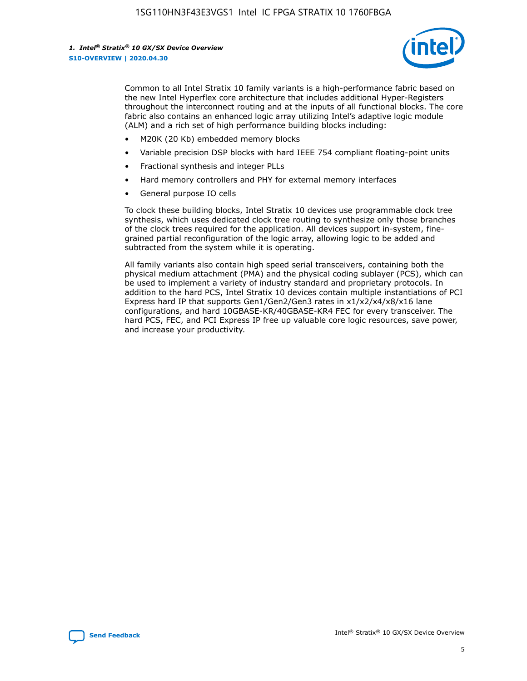

Common to all Intel Stratix 10 family variants is a high-performance fabric based on the new Intel Hyperflex core architecture that includes additional Hyper-Registers throughout the interconnect routing and at the inputs of all functional blocks. The core fabric also contains an enhanced logic array utilizing Intel's adaptive logic module (ALM) and a rich set of high performance building blocks including:

- M20K (20 Kb) embedded memory blocks
- Variable precision DSP blocks with hard IEEE 754 compliant floating-point units
- Fractional synthesis and integer PLLs
- Hard memory controllers and PHY for external memory interfaces
- General purpose IO cells

To clock these building blocks, Intel Stratix 10 devices use programmable clock tree synthesis, which uses dedicated clock tree routing to synthesize only those branches of the clock trees required for the application. All devices support in-system, finegrained partial reconfiguration of the logic array, allowing logic to be added and subtracted from the system while it is operating.

All family variants also contain high speed serial transceivers, containing both the physical medium attachment (PMA) and the physical coding sublayer (PCS), which can be used to implement a variety of industry standard and proprietary protocols. In addition to the hard PCS, Intel Stratix 10 devices contain multiple instantiations of PCI Express hard IP that supports Gen1/Gen2/Gen3 rates in x1/x2/x4/x8/x16 lane configurations, and hard 10GBASE-KR/40GBASE-KR4 FEC for every transceiver. The hard PCS, FEC, and PCI Express IP free up valuable core logic resources, save power, and increase your productivity.

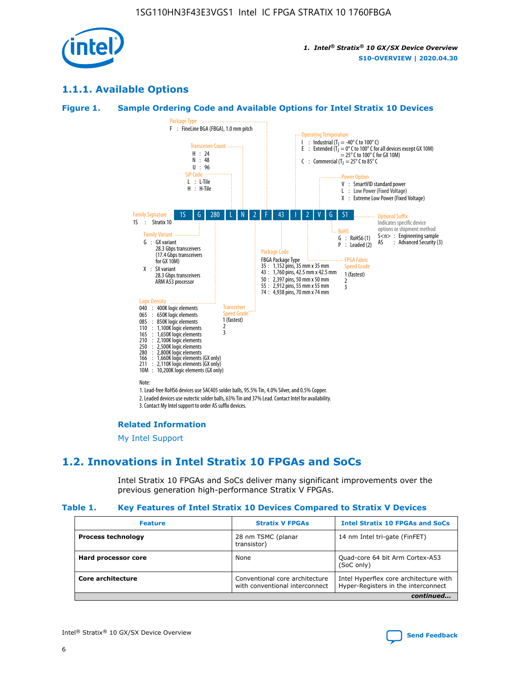

### **1.1.1. Available Options**

### **Figure 1. Sample Ordering Code and Available Options for Intel Stratix 10 Devices**



3. Contact My Intel support to order AS suffix devices.

#### **Related Information**

[My Intel Support](https://www.intel.com/content/www/us/en/programmable/my-intel/mal-home.html)

### **1.2. Innovations in Intel Stratix 10 FPGAs and SoCs**

Intel Stratix 10 FPGAs and SoCs deliver many significant improvements over the previous generation high-performance Stratix V FPGAs.

#### **Table 1. Key Features of Intel Stratix 10 Devices Compared to Stratix V Devices**

| <b>Feature</b>            | <b>Stratix V FPGAs</b>                                           | <b>Intel Stratix 10 FPGAs and SoCs</b>                                        |  |
|---------------------------|------------------------------------------------------------------|-------------------------------------------------------------------------------|--|
| <b>Process technology</b> | 28 nm TSMC (planar<br>transistor)                                | 14 nm Intel tri-gate (FinFET)                                                 |  |
| Hard processor core       | None                                                             | Quad-core 64 bit Arm Cortex-A53<br>(SoC only)                                 |  |
| Core architecture         | Conventional core architecture<br>with conventional interconnect | Intel Hyperflex core architecture with<br>Hyper-Registers in the interconnect |  |
|                           |                                                                  | continued                                                                     |  |

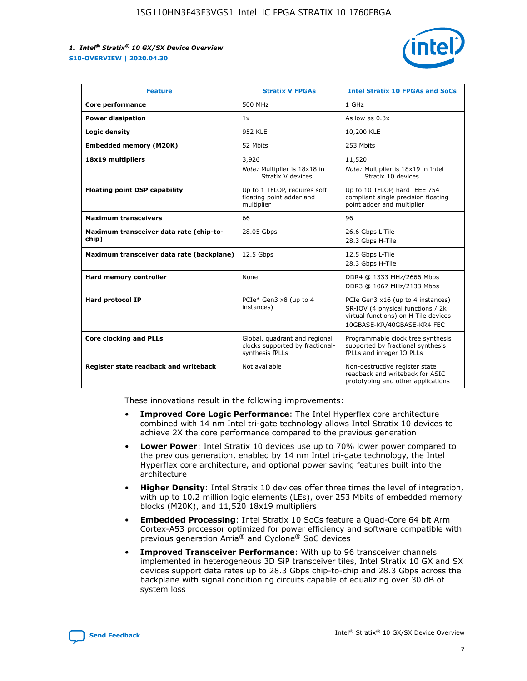

| <b>Feature</b>                                   | <b>Stratix V FPGAs</b>                                                              | <b>Intel Stratix 10 FPGAs and SoCs</b>                                                                                                       |
|--------------------------------------------------|-------------------------------------------------------------------------------------|----------------------------------------------------------------------------------------------------------------------------------------------|
| Core performance                                 | 500 MHz                                                                             | 1 GHz                                                                                                                                        |
| <b>Power dissipation</b>                         | 1x                                                                                  | As low as $0.3x$                                                                                                                             |
| Logic density                                    | <b>952 KLE</b>                                                                      | 10,200 KLE                                                                                                                                   |
| <b>Embedded memory (M20K)</b>                    | 52 Mbits                                                                            | 253 Mbits                                                                                                                                    |
| 18x19 multipliers                                | 3,926                                                                               | 11,520                                                                                                                                       |
|                                                  | Note: Multiplier is 18x18 in<br>Stratix V devices.                                  | Note: Multiplier is 18x19 in Intel<br>Stratix 10 devices.                                                                                    |
| <b>Floating point DSP capability</b>             | Up to 1 TFLOP, requires soft<br>floating point adder and<br>multiplier              | Up to 10 TFLOP, hard IEEE 754<br>compliant single precision floating<br>point adder and multiplier                                           |
| <b>Maximum transceivers</b>                      | 66                                                                                  | 96                                                                                                                                           |
| Maximum transceiver data rate (chip-to-<br>chip) | 28.05 Gbps                                                                          | 26.6 Gbps L-Tile<br>28.3 Gbps H-Tile                                                                                                         |
| Maximum transceiver data rate (backplane)        | 12.5 Gbps                                                                           | 12.5 Gbps L-Tile<br>28.3 Gbps H-Tile                                                                                                         |
| Hard memory controller                           | None                                                                                | DDR4 @ 1333 MHz/2666 Mbps<br>DDR3 @ 1067 MHz/2133 Mbps                                                                                       |
| Hard protocol IP                                 | PCIe* Gen3 x8 (up to 4<br>instances)                                                | PCIe Gen3 x16 (up to 4 instances)<br>SR-IOV (4 physical functions / 2k<br>virtual functions) on H-Tile devices<br>10GBASE-KR/40GBASE-KR4 FEC |
| <b>Core clocking and PLLs</b>                    | Global, quadrant and regional<br>clocks supported by fractional-<br>synthesis fPLLs | Programmable clock tree synthesis<br>supported by fractional synthesis<br>fPLLs and integer IO PLLs                                          |
| Register state readback and writeback            | Not available                                                                       | Non-destructive register state<br>readback and writeback for ASIC<br>prototyping and other applications                                      |

These innovations result in the following improvements:

- **Improved Core Logic Performance**: The Intel Hyperflex core architecture combined with 14 nm Intel tri-gate technology allows Intel Stratix 10 devices to achieve 2X the core performance compared to the previous generation
- **Lower Power**: Intel Stratix 10 devices use up to 70% lower power compared to the previous generation, enabled by 14 nm Intel tri-gate technology, the Intel Hyperflex core architecture, and optional power saving features built into the architecture
- **Higher Density**: Intel Stratix 10 devices offer three times the level of integration, with up to 10.2 million logic elements (LEs), over 253 Mbits of embedded memory blocks (M20K), and 11,520 18x19 multipliers
- **Embedded Processing**: Intel Stratix 10 SoCs feature a Quad-Core 64 bit Arm Cortex-A53 processor optimized for power efficiency and software compatible with previous generation Arria® and Cyclone® SoC devices
- **Improved Transceiver Performance**: With up to 96 transceiver channels implemented in heterogeneous 3D SiP transceiver tiles, Intel Stratix 10 GX and SX devices support data rates up to 28.3 Gbps chip-to-chip and 28.3 Gbps across the backplane with signal conditioning circuits capable of equalizing over 30 dB of system loss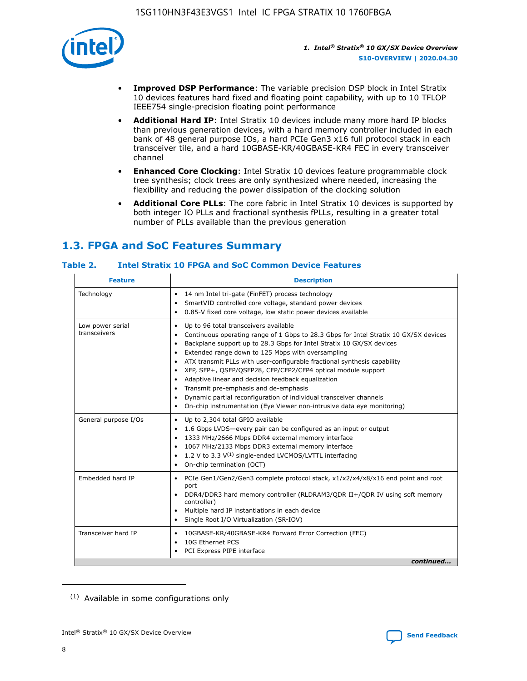

- **Improved DSP Performance**: The variable precision DSP block in Intel Stratix 10 devices features hard fixed and floating point capability, with up to 10 TFLOP IEEE754 single-precision floating point performance
- **Additional Hard IP**: Intel Stratix 10 devices include many more hard IP blocks than previous generation devices, with a hard memory controller included in each bank of 48 general purpose IOs, a hard PCIe Gen3 x16 full protocol stack in each transceiver tile, and a hard 10GBASE-KR/40GBASE-KR4 FEC in every transceiver channel
- **Enhanced Core Clocking**: Intel Stratix 10 devices feature programmable clock tree synthesis; clock trees are only synthesized where needed, increasing the flexibility and reducing the power dissipation of the clocking solution
- **Additional Core PLLs**: The core fabric in Intel Stratix 10 devices is supported by both integer IO PLLs and fractional synthesis fPLLs, resulting in a greater total number of PLLs available than the previous generation

## **1.3. FPGA and SoC Features Summary**

### **Table 2. Intel Stratix 10 FPGA and SoC Common Device Features**

| <b>Feature</b>                   | <b>Description</b>                                                                                                                                                                                                                                                                                                                                                                                                                                                                                                                                                                                                                                                                                                         |
|----------------------------------|----------------------------------------------------------------------------------------------------------------------------------------------------------------------------------------------------------------------------------------------------------------------------------------------------------------------------------------------------------------------------------------------------------------------------------------------------------------------------------------------------------------------------------------------------------------------------------------------------------------------------------------------------------------------------------------------------------------------------|
| Technology                       | 14 nm Intel tri-gate (FinFET) process technology<br>$\bullet$<br>SmartVID controlled core voltage, standard power devices<br>0.85-V fixed core voltage, low static power devices available<br>$\bullet$                                                                                                                                                                                                                                                                                                                                                                                                                                                                                                                    |
| Low power serial<br>transceivers | Up to 96 total transceivers available<br>$\bullet$<br>Continuous operating range of 1 Gbps to 28.3 Gbps for Intel Stratix 10 GX/SX devices<br>Backplane support up to 28.3 Gbps for Intel Stratix 10 GX/SX devices<br>$\bullet$<br>Extended range down to 125 Mbps with oversampling<br>ATX transmit PLLs with user-configurable fractional synthesis capability<br>$\bullet$<br>• XFP, SFP+, QSFP/QSFP28, CFP/CFP2/CFP4 optical module support<br>• Adaptive linear and decision feedback equalization<br>Transmit pre-emphasis and de-emphasis<br>Dynamic partial reconfiguration of individual transceiver channels<br>$\bullet$<br>On-chip instrumentation (Eye Viewer non-intrusive data eye monitoring)<br>$\bullet$ |
| General purpose I/Os             | Up to 2,304 total GPIO available<br>$\bullet$<br>1.6 Gbps LVDS-every pair can be configured as an input or output<br>$\bullet$<br>1333 MHz/2666 Mbps DDR4 external memory interface<br>1067 MHz/2133 Mbps DDR3 external memory interface<br>• 1.2 V to 3.3 $V^{(1)}$ single-ended LVCMOS/LVTTL interfacing<br>On-chip termination (OCT)<br>$\bullet$                                                                                                                                                                                                                                                                                                                                                                       |
| Embedded hard IP                 | PCIe Gen1/Gen2/Gen3 complete protocol stack, x1/x2/x4/x8/x16 end point and root<br>$\bullet$<br>port<br>DDR4/DDR3 hard memory controller (RLDRAM3/QDR II+/QDR IV using soft memory<br>controller)<br>• Multiple hard IP instantiations in each device<br>• Single Root I/O Virtualization (SR-IOV)                                                                                                                                                                                                                                                                                                                                                                                                                         |
| Transceiver hard IP              | 10GBASE-KR/40GBASE-KR4 Forward Error Correction (FEC)<br>$\bullet$<br>10G Ethernet PCS<br>$\bullet$<br>PCI Express PIPE interface<br>$\bullet$<br>continued                                                                                                                                                                                                                                                                                                                                                                                                                                                                                                                                                                |

<sup>(1)</sup> Available in some configurations only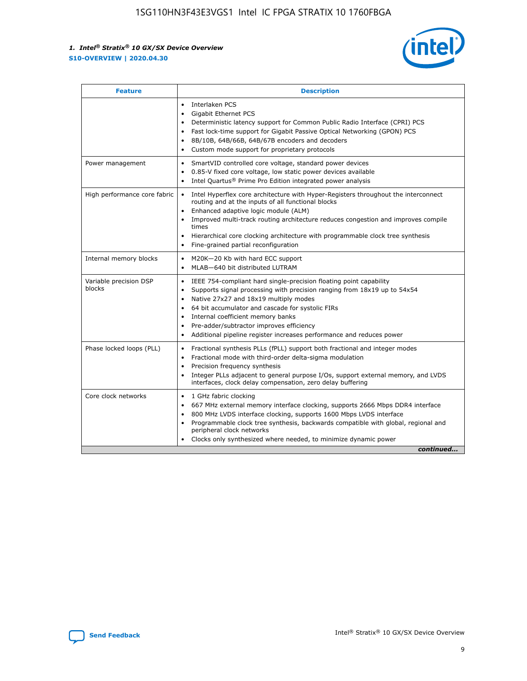

| <b>Feature</b>                   | <b>Description</b>                                                                                                                                                                                                                                                                                                                                                                                                                                            |
|----------------------------------|---------------------------------------------------------------------------------------------------------------------------------------------------------------------------------------------------------------------------------------------------------------------------------------------------------------------------------------------------------------------------------------------------------------------------------------------------------------|
|                                  | Interlaken PCS<br>$\bullet$<br>Gigabit Ethernet PCS<br>$\bullet$<br>Deterministic latency support for Common Public Radio Interface (CPRI) PCS<br>$\bullet$<br>Fast lock-time support for Gigabit Passive Optical Networking (GPON) PCS<br>٠<br>8B/10B, 64B/66B, 64B/67B encoders and decoders<br>Custom mode support for proprietary protocols<br>۰                                                                                                          |
| Power management                 | SmartVID controlled core voltage, standard power devices<br>$\bullet$<br>0.85-V fixed core voltage, low static power devices available<br>$\bullet$<br>Intel Quartus <sup>®</sup> Prime Pro Edition integrated power analysis<br>٠                                                                                                                                                                                                                            |
| High performance core fabric     | Intel Hyperflex core architecture with Hyper-Registers throughout the interconnect<br>routing and at the inputs of all functional blocks<br>Enhanced adaptive logic module (ALM)<br>Improved multi-track routing architecture reduces congestion and improves compile<br>times<br>Hierarchical core clocking architecture with programmable clock tree synthesis<br>$\bullet$<br>Fine-grained partial reconfiguration                                         |
| Internal memory blocks           | M20K-20 Kb with hard ECC support<br>٠<br>MLAB-640 bit distributed LUTRAM<br>$\bullet$                                                                                                                                                                                                                                                                                                                                                                         |
| Variable precision DSP<br>blocks | IEEE 754-compliant hard single-precision floating point capability<br>$\bullet$<br>Supports signal processing with precision ranging from 18x19 up to 54x54<br>$\bullet$<br>Native 27x27 and 18x19 multiply modes<br>٠<br>64 bit accumulator and cascade for systolic FIRs<br>Internal coefficient memory banks<br>Pre-adder/subtractor improves efficiency<br>$\bullet$<br>Additional pipeline register increases performance and reduces power<br>$\bullet$ |
| Phase locked loops (PLL)         | Fractional synthesis PLLs (fPLL) support both fractional and integer modes<br>$\bullet$<br>Fractional mode with third-order delta-sigma modulation<br>Precision frequency synthesis<br>$\bullet$<br>Integer PLLs adjacent to general purpose I/Os, support external memory, and LVDS<br>$\bullet$<br>interfaces, clock delay compensation, zero delay buffering                                                                                               |
| Core clock networks              | 1 GHz fabric clocking<br>٠<br>667 MHz external memory interface clocking, supports 2666 Mbps DDR4 interface<br>$\bullet$<br>800 MHz LVDS interface clocking, supports 1600 Mbps LVDS interface<br>$\bullet$<br>Programmable clock tree synthesis, backwards compatible with global, regional and<br>$\bullet$<br>peripheral clock networks<br>Clocks only synthesized where needed, to minimize dynamic power<br>continued                                    |

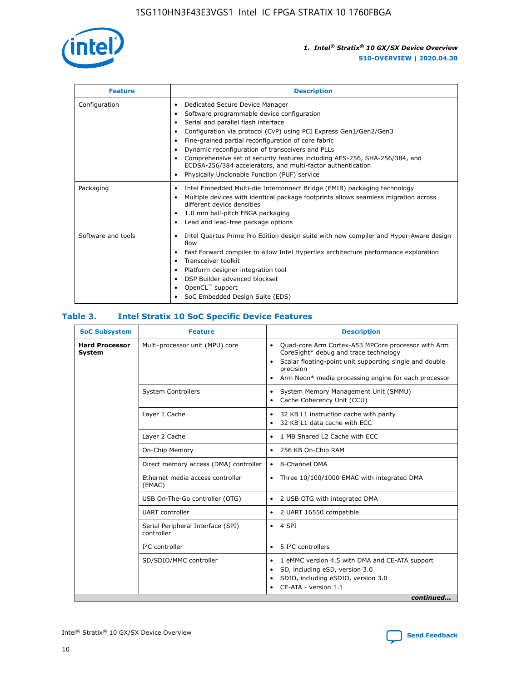

| <b>Feature</b>     | <b>Description</b>                                                                                                                                                                                                                                                                                                                                                                                                                                                                                                                                                   |
|--------------------|----------------------------------------------------------------------------------------------------------------------------------------------------------------------------------------------------------------------------------------------------------------------------------------------------------------------------------------------------------------------------------------------------------------------------------------------------------------------------------------------------------------------------------------------------------------------|
| Configuration      | Dedicated Secure Device Manager<br>$\bullet$<br>Software programmable device configuration<br>٠<br>Serial and parallel flash interface<br>٠<br>Configuration via protocol (CvP) using PCI Express Gen1/Gen2/Gen3<br>٠<br>Fine-grained partial reconfiguration of core fabric<br>$\bullet$<br>Dynamic reconfiguration of transceivers and PLLs<br>$\bullet$<br>Comprehensive set of security features including AES-256, SHA-256/384, and<br>ECDSA-256/384 accelerators, and multi-factor authentication<br>Physically Unclonable Function (PUF) service<br>$\bullet$ |
| Packaging          | Intel Embedded Multi-die Interconnect Bridge (EMIB) packaging technology<br>٠<br>Multiple devices with identical package footprints allows seamless migration across<br>$\bullet$<br>different device densities<br>1.0 mm ball-pitch FBGA packaging<br>$\bullet$<br>Lead and lead-free package options                                                                                                                                                                                                                                                               |
| Software and tools | Intel Quartus Prime Pro Edition design suite with new compiler and Hyper-Aware design<br>flow<br>Fast Forward compiler to allow Intel Hyperflex architecture performance exploration<br>$\bullet$<br>Transceiver toolkit<br>$\bullet$<br>Platform designer integration tool<br>DSP Builder advanced blockset<br>OpenCL <sup>™</sup> support<br>SoC Embedded Design Suite (EDS)                                                                                                                                                                                       |

### **Table 3. Intel Stratix 10 SoC Specific Device Features**

| <b>Hard Processor</b><br>Multi-processor unit (MPU) core<br>Quad-core Arm Cortex-A53 MPCore processor with Arm<br>$\bullet$<br>CoreSight* debug and trace technology<br>System<br>Scalar floating-point unit supporting single and double<br>$\bullet$<br>precision<br>Arm Neon* media processing engine for each processor<br>$\bullet$<br><b>System Controllers</b><br>System Memory Management Unit (SMMU)<br>$\bullet$<br>Cache Coherency Unit (CCU)<br>$\bullet$<br>Layer 1 Cache<br>32 KB L1 instruction cache with parity<br>$\bullet$<br>32 KB L1 data cache with ECC<br>$\bullet$<br>Layer 2 Cache<br>1 MB Shared L2 Cache with ECC<br>$\bullet$<br>On-Chip Memory<br>256 KB On-Chip RAM<br>٠<br>Direct memory access (DMA) controller<br>8-Channel DMA<br>$\bullet$<br>Ethernet media access controller<br>Three 10/100/1000 EMAC with integrated DMA<br>$\bullet$<br>(EMAC)<br>USB On-The-Go controller (OTG)<br>2 USB OTG with integrated DMA<br>$\bullet$<br><b>UART</b> controller<br>2 UART 16550 compatible<br>$\bullet$<br>Serial Peripheral Interface (SPI)<br>4 SPI<br>$\bullet$<br>controller<br>$I2C$ controller<br>5 I <sup>2</sup> C controllers<br>$\bullet$<br>SD/SDIO/MMC controller<br>1 eMMC version 4.5 with DMA and CE-ATA support<br>$\bullet$<br>SD, including eSD, version 3.0<br>$\bullet$<br>SDIO, including eSDIO, version 3.0<br>$\bullet$<br>CE-ATA - version 1.1 | <b>SoC Subsystem</b> | <b>Feature</b> | <b>Description</b> |  |  |
|---------------------------------------------------------------------------------------------------------------------------------------------------------------------------------------------------------------------------------------------------------------------------------------------------------------------------------------------------------------------------------------------------------------------------------------------------------------------------------------------------------------------------------------------------------------------------------------------------------------------------------------------------------------------------------------------------------------------------------------------------------------------------------------------------------------------------------------------------------------------------------------------------------------------------------------------------------------------------------------------------------------------------------------------------------------------------------------------------------------------------------------------------------------------------------------------------------------------------------------------------------------------------------------------------------------------------------------------------------------------------------------------------------|----------------------|----------------|--------------------|--|--|
|                                                                                                                                                                                                                                                                                                                                                                                                                                                                                                                                                                                                                                                                                                                                                                                                                                                                                                                                                                                                                                                                                                                                                                                                                                                                                                                                                                                                         |                      |                |                    |  |  |
|                                                                                                                                                                                                                                                                                                                                                                                                                                                                                                                                                                                                                                                                                                                                                                                                                                                                                                                                                                                                                                                                                                                                                                                                                                                                                                                                                                                                         |                      |                |                    |  |  |
|                                                                                                                                                                                                                                                                                                                                                                                                                                                                                                                                                                                                                                                                                                                                                                                                                                                                                                                                                                                                                                                                                                                                                                                                                                                                                                                                                                                                         |                      |                |                    |  |  |
|                                                                                                                                                                                                                                                                                                                                                                                                                                                                                                                                                                                                                                                                                                                                                                                                                                                                                                                                                                                                                                                                                                                                                                                                                                                                                                                                                                                                         |                      |                |                    |  |  |
|                                                                                                                                                                                                                                                                                                                                                                                                                                                                                                                                                                                                                                                                                                                                                                                                                                                                                                                                                                                                                                                                                                                                                                                                                                                                                                                                                                                                         |                      |                |                    |  |  |
|                                                                                                                                                                                                                                                                                                                                                                                                                                                                                                                                                                                                                                                                                                                                                                                                                                                                                                                                                                                                                                                                                                                                                                                                                                                                                                                                                                                                         |                      |                |                    |  |  |
|                                                                                                                                                                                                                                                                                                                                                                                                                                                                                                                                                                                                                                                                                                                                                                                                                                                                                                                                                                                                                                                                                                                                                                                                                                                                                                                                                                                                         |                      |                |                    |  |  |
|                                                                                                                                                                                                                                                                                                                                                                                                                                                                                                                                                                                                                                                                                                                                                                                                                                                                                                                                                                                                                                                                                                                                                                                                                                                                                                                                                                                                         |                      |                |                    |  |  |
|                                                                                                                                                                                                                                                                                                                                                                                                                                                                                                                                                                                                                                                                                                                                                                                                                                                                                                                                                                                                                                                                                                                                                                                                                                                                                                                                                                                                         |                      |                |                    |  |  |
|                                                                                                                                                                                                                                                                                                                                                                                                                                                                                                                                                                                                                                                                                                                                                                                                                                                                                                                                                                                                                                                                                                                                                                                                                                                                                                                                                                                                         |                      |                |                    |  |  |
|                                                                                                                                                                                                                                                                                                                                                                                                                                                                                                                                                                                                                                                                                                                                                                                                                                                                                                                                                                                                                                                                                                                                                                                                                                                                                                                                                                                                         |                      |                |                    |  |  |
| continued                                                                                                                                                                                                                                                                                                                                                                                                                                                                                                                                                                                                                                                                                                                                                                                                                                                                                                                                                                                                                                                                                                                                                                                                                                                                                                                                                                                               |                      |                |                    |  |  |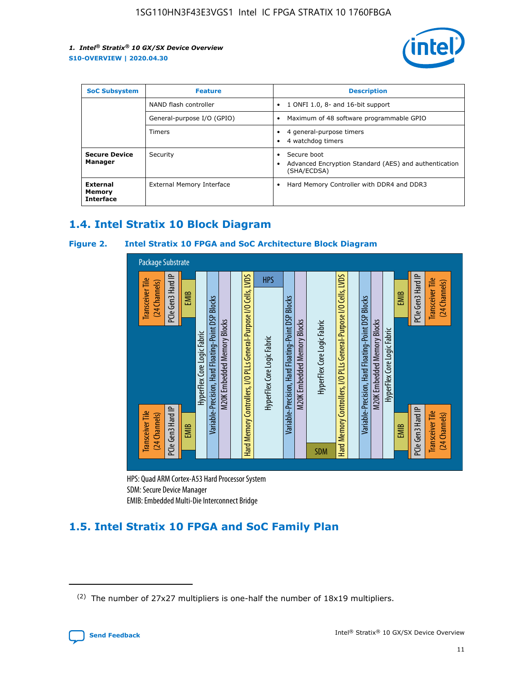

| <b>SoC Subsystem</b><br><b>Feature</b> |                            | <b>Description</b>                                                                                    |
|----------------------------------------|----------------------------|-------------------------------------------------------------------------------------------------------|
|                                        | NAND flash controller      | 1 ONFI 1.0, 8- and 16-bit support<br>$\bullet$                                                        |
|                                        | General-purpose I/O (GPIO) | Maximum of 48 software programmable GPIO<br>$\bullet$                                                 |
|                                        | Timers                     | 4 general-purpose timers<br>4 watchdog timers<br>٠                                                    |
| <b>Secure Device</b><br>Manager        | Security                   | Secure boot<br>$\bullet$<br>Advanced Encryption Standard (AES) and authentication<br>٠<br>(SHA/ECDSA) |
| External<br>Memory<br><b>Interface</b> | External Memory Interface  | Hard Memory Controller with DDR4 and DDR3<br>$\bullet$                                                |

### **1.4. Intel Stratix 10 Block Diagram**

### **Figure 2. Intel Stratix 10 FPGA and SoC Architecture Block Diagram**



HPS: Quad ARM Cortex-A53 Hard Processor System SDM: Secure Device Manager

## **1.5. Intel Stratix 10 FPGA and SoC Family Plan**

<sup>(2)</sup> The number of 27x27 multipliers is one-half the number of 18x19 multipliers.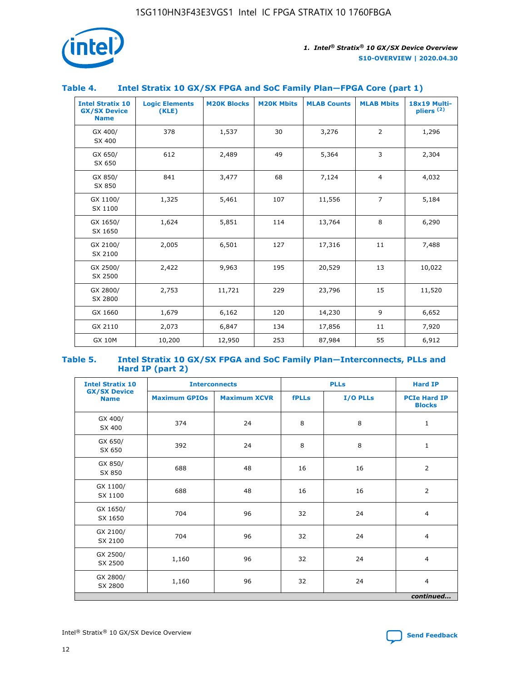

### **Table 4. Intel Stratix 10 GX/SX FPGA and SoC Family Plan—FPGA Core (part 1)**

| <b>Intel Stratix 10</b><br><b>GX/SX Device</b><br><b>Name</b> | <b>Logic Elements</b><br>(KLE) | <b>M20K Blocks</b> | <b>M20K Mbits</b> | <b>MLAB Counts</b> | <b>MLAB Mbits</b> | 18x19 Multi-<br>pliers <sup>(2)</sup> |
|---------------------------------------------------------------|--------------------------------|--------------------|-------------------|--------------------|-------------------|---------------------------------------|
| GX 400/<br>SX 400                                             | 378                            | 1,537              | 30                | 3,276              | 2                 | 1,296                                 |
| GX 650/<br>SX 650                                             | 612                            | 2,489              | 49                | 5,364              | 3                 | 2,304                                 |
| GX 850/<br>SX 850                                             | 841                            | 3,477              | 68                | 7,124              | $\overline{4}$    | 4,032                                 |
| GX 1100/<br>SX 1100                                           | 1,325                          | 5,461              | 107               | 11,556             | $\overline{7}$    | 5,184                                 |
| GX 1650/<br>SX 1650                                           | 1,624                          | 5,851              | 114               | 13,764             | 8                 | 6,290                                 |
| GX 2100/<br>SX 2100                                           | 2,005                          | 6,501              | 127               | 17,316             | 11                | 7,488                                 |
| GX 2500/<br>SX 2500                                           | 2,422                          | 9,963              | 195               | 20,529             | 13                | 10,022                                |
| GX 2800/<br>SX 2800                                           | 2,753                          | 11,721             | 229               | 23,796             | 15                | 11,520                                |
| GX 1660                                                       | 1,679                          | 6,162              | 120               | 14,230             | 9                 | 6,652                                 |
| GX 2110                                                       | 2,073                          | 6,847              | 134               | 17,856             | 11                | 7,920                                 |
| <b>GX 10M</b>                                                 | 10,200                         | 12,950             | 253               | 87,984             | 55                | 6,912                                 |

#### **Table 5. Intel Stratix 10 GX/SX FPGA and SoC Family Plan—Interconnects, PLLs and Hard IP (part 2)**

| <b>Intel Stratix 10</b>            | <b>Interconnects</b> |                     | <b>PLLs</b>  |          | <b>Hard IP</b>                       |  |
|------------------------------------|----------------------|---------------------|--------------|----------|--------------------------------------|--|
| <b>GX/SX Device</b><br><b>Name</b> | <b>Maximum GPIOs</b> | <b>Maximum XCVR</b> | <b>fPLLs</b> | I/O PLLs | <b>PCIe Hard IP</b><br><b>Blocks</b> |  |
| GX 400/<br>SX 400                  | 374                  | 24                  | 8            | 8        | $\mathbf{1}$                         |  |
| GX 650/<br>SX 650                  | 392                  | 24                  | 8            | 8        | $\mathbf{1}$                         |  |
| GX 850/<br>SX 850                  | 688                  | 48                  | 16           | 16       | 2                                    |  |
| GX 1100/<br>SX 1100                | 688                  | 48                  | 16           | 16       | 2                                    |  |
| GX 1650/<br>SX 1650                | 704                  | 96                  | 32           | 24       | $\overline{4}$                       |  |
| GX 2100/<br>SX 2100                | 704                  | 96                  | 32           | 24       | $\overline{4}$                       |  |
| GX 2500/<br>SX 2500                | 1,160                | 96                  | 32           | 24       | $\overline{4}$                       |  |
| GX 2800/<br>SX 2800                | 1,160                | 96                  | 32           | 24       | $\overline{4}$                       |  |
| continued                          |                      |                     |              |          |                                      |  |

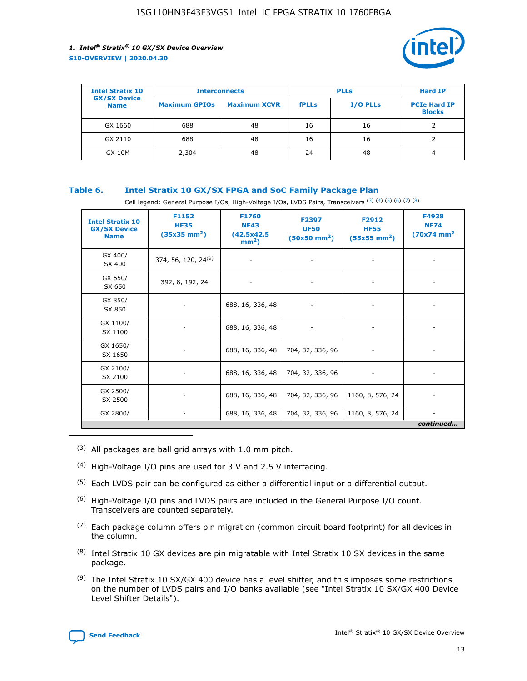

| <b>Intel Stratix 10</b>            |                      | <b>Interconnects</b> |              | <b>PLLs</b>     | <b>Hard IP</b>                       |
|------------------------------------|----------------------|----------------------|--------------|-----------------|--------------------------------------|
| <b>GX/SX Device</b><br><b>Name</b> | <b>Maximum GPIOs</b> | <b>Maximum XCVR</b>  | <b>fPLLs</b> | <b>I/O PLLs</b> | <b>PCIe Hard IP</b><br><b>Blocks</b> |
| GX 1660                            | 688                  | 48                   | 16           | 16              |                                      |
| GX 2110                            | 688                  | 48                   | 16           | 16              |                                      |
| <b>GX 10M</b>                      | 2,304                | 48                   | 24           | 48              | 4                                    |

### **Table 6. Intel Stratix 10 GX/SX FPGA and SoC Family Package Plan**

Cell legend: General Purpose I/Os, High-Voltage I/Os, LVDS Pairs, Transceivers (3) (4) (5) (6) (7) (8)

| <b>Intel Stratix 10</b><br><b>GX/SX Device</b><br><b>Name</b> | F1152<br><b>HF35</b><br>$(35x35 \text{ mm}^2)$ | F1760<br><b>NF43</b><br>(42.5x42.5<br>$mm2$ ) | F2397<br><b>UF50</b><br>$(50x50 \text{ mm}^2)$ | F2912<br><b>HF55</b><br>$(55x55$ mm <sup>2</sup> ) | F4938<br><b>NF74</b><br>$(70x74)$ mm <sup>2</sup> |
|---------------------------------------------------------------|------------------------------------------------|-----------------------------------------------|------------------------------------------------|----------------------------------------------------|---------------------------------------------------|
| GX 400/<br>SX 400                                             | 374, 56, 120, 24 <sup>(9)</sup>                | $\overline{\phantom{a}}$                      | $\overline{\phantom{a}}$                       | ۰                                                  |                                                   |
| GX 650/<br>SX 650                                             | 392, 8, 192, 24                                | $\overline{\phantom{a}}$                      | $\overline{\phantom{a}}$                       |                                                    |                                                   |
| GX 850/<br>SX 850                                             | ۰.                                             | 688, 16, 336, 48                              |                                                |                                                    |                                                   |
| GX 1100/<br>SX 1100                                           |                                                | 688, 16, 336, 48                              |                                                |                                                    |                                                   |
| GX 1650/<br>SX 1650                                           |                                                | 688, 16, 336, 48                              | 704, 32, 336, 96                               |                                                    |                                                   |
| GX 2100/<br>SX 2100                                           | -                                              | 688, 16, 336, 48                              | 704, 32, 336, 96                               | $\overline{\phantom{a}}$                           |                                                   |
| GX 2500/<br>SX 2500                                           |                                                | 688, 16, 336, 48                              | 704, 32, 336, 96                               | 1160, 8, 576, 24                                   |                                                   |
| GX 2800/                                                      | -                                              | 688, 16, 336, 48                              | 704, 32, 336, 96                               | 1160, 8, 576, 24                                   | $\overline{\phantom{a}}$<br>continued             |

- (3) All packages are ball grid arrays with 1.0 mm pitch.
- (4) High-Voltage I/O pins are used for 3 V and 2.5 V interfacing.
- $(5)$  Each LVDS pair can be configured as either a differential input or a differential output.
- (6) High-Voltage I/O pins and LVDS pairs are included in the General Purpose I/O count. Transceivers are counted separately.
- $(7)$  Each package column offers pin migration (common circuit board footprint) for all devices in the column.
- $(8)$  Intel Stratix 10 GX devices are pin migratable with Intel Stratix 10 SX devices in the same package.
- $(9)$  The Intel Stratix 10 SX/GX 400 device has a level shifter, and this imposes some restrictions on the number of LVDS pairs and I/O banks available (see "Intel Stratix 10 SX/GX 400 Device Level Shifter Details").

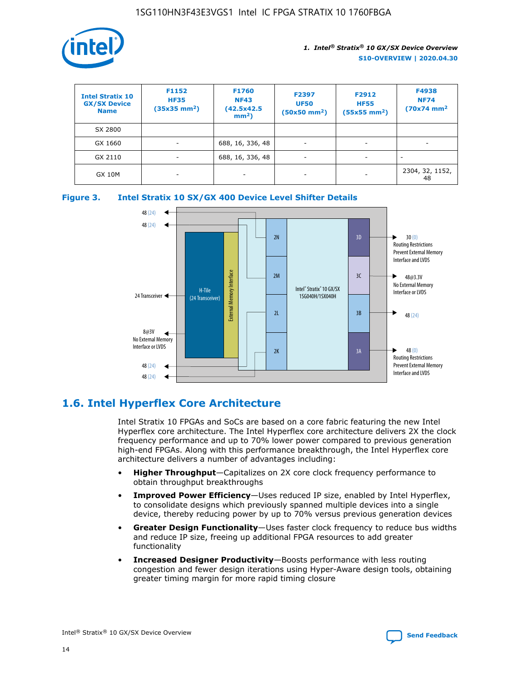

| <b>Intel Stratix 10</b><br><b>GX/SX Device</b><br><b>Name</b> | F1152<br><b>HF35</b><br>$(35x35)$ mm <sup>2</sup> ) | F1760<br><b>NF43</b><br>(42.5x42.5<br>$mm2$ ) | F2397<br><b>UF50</b><br>$(50x50 \text{ mm}^2)$ | F2912<br><b>HF55</b><br>$(55x55$ mm <sup>2</sup> ) | F4938<br><b>NF74</b><br>$(70x74)$ mm <sup>2</sup> |
|---------------------------------------------------------------|-----------------------------------------------------|-----------------------------------------------|------------------------------------------------|----------------------------------------------------|---------------------------------------------------|
| SX 2800                                                       |                                                     |                                               |                                                |                                                    |                                                   |
| GX 1660                                                       | -                                                   | 688, 16, 336, 48                              | $\overline{\phantom{a}}$                       |                                                    |                                                   |
| GX 2110                                                       |                                                     | 688, 16, 336, 48                              | $\overline{\phantom{a}}$                       |                                                    |                                                   |
| <b>GX 10M</b>                                                 | ۰                                                   |                                               |                                                |                                                    | 2304, 32, 1152,<br>48                             |





### **1.6. Intel Hyperflex Core Architecture**

Intel Stratix 10 FPGAs and SoCs are based on a core fabric featuring the new Intel Hyperflex core architecture. The Intel Hyperflex core architecture delivers 2X the clock frequency performance and up to 70% lower power compared to previous generation high-end FPGAs. Along with this performance breakthrough, the Intel Hyperflex core architecture delivers a number of advantages including:

- **Higher Throughput**—Capitalizes on 2X core clock frequency performance to obtain throughput breakthroughs
- **Improved Power Efficiency**—Uses reduced IP size, enabled by Intel Hyperflex, to consolidate designs which previously spanned multiple devices into a single device, thereby reducing power by up to 70% versus previous generation devices
- **Greater Design Functionality**—Uses faster clock frequency to reduce bus widths and reduce IP size, freeing up additional FPGA resources to add greater functionality
- **Increased Designer Productivity**—Boosts performance with less routing congestion and fewer design iterations using Hyper-Aware design tools, obtaining greater timing margin for more rapid timing closure

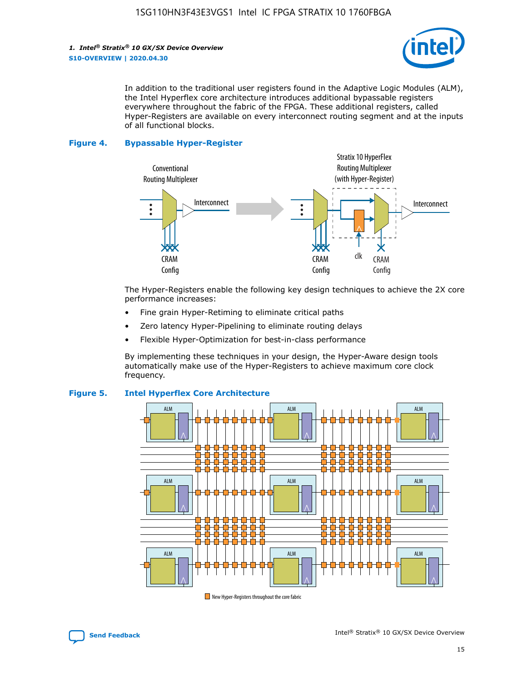*1. Intel® Stratix® 10 GX/SX Device Overview* **S10-OVERVIEW | 2020.04.30**



In addition to the traditional user registers found in the Adaptive Logic Modules (ALM), the Intel Hyperflex core architecture introduces additional bypassable registers everywhere throughout the fabric of the FPGA. These additional registers, called Hyper-Registers are available on every interconnect routing segment and at the inputs of all functional blocks.

#### **Figure 4. Bypassable Hyper-Register**



The Hyper-Registers enable the following key design techniques to achieve the 2X core performance increases:

- Fine grain Hyper-Retiming to eliminate critical paths
- Zero latency Hyper-Pipelining to eliminate routing delays
- Flexible Hyper-Optimization for best-in-class performance

By implementing these techniques in your design, the Hyper-Aware design tools automatically make use of the Hyper-Registers to achieve maximum core clock frequency.



### **Figure 5. Intel Hyperflex Core Architecture**

New Hyper-Registers throughout the core fabric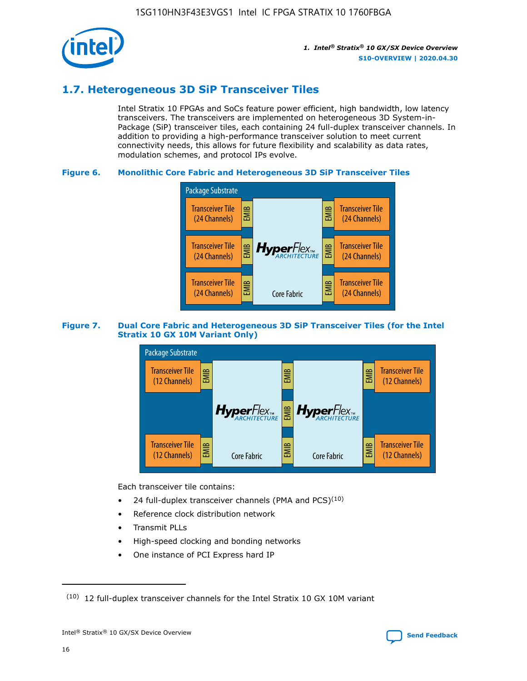

### **1.7. Heterogeneous 3D SiP Transceiver Tiles**

Intel Stratix 10 FPGAs and SoCs feature power efficient, high bandwidth, low latency transceivers. The transceivers are implemented on heterogeneous 3D System-in-Package (SiP) transceiver tiles, each containing 24 full-duplex transceiver channels. In addition to providing a high-performance transceiver solution to meet current connectivity needs, this allows for future flexibility and scalability as data rates, modulation schemes, and protocol IPs evolve.

### **Figure 6. Monolithic Core Fabric and Heterogeneous 3D SiP Transceiver Tiles**



### **Figure 7. Dual Core Fabric and Heterogeneous 3D SiP Transceiver Tiles (for the Intel Stratix 10 GX 10M Variant Only)**



Each transceiver tile contains:

- 24 full-duplex transceiver channels (PMA and PCS) $(10)$
- Reference clock distribution network
- Transmit PLLs
- High-speed clocking and bonding networks
- One instance of PCI Express hard IP

 $(10)$  12 full-duplex transceiver channels for the Intel Stratix 10 GX 10M variant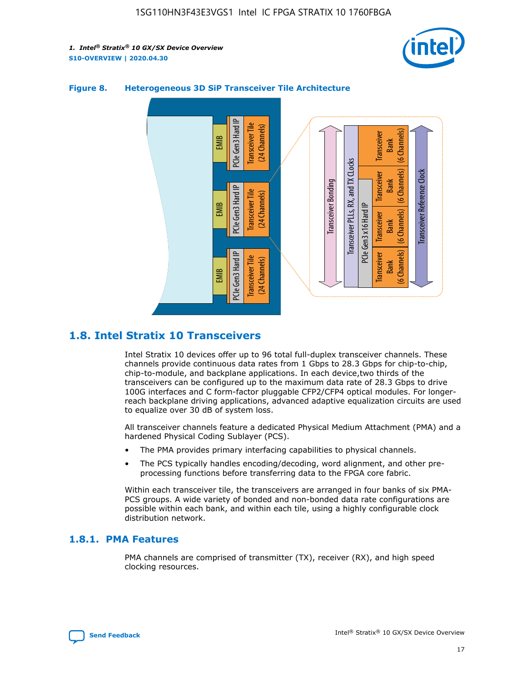



### **Figure 8. Heterogeneous 3D SiP Transceiver Tile Architecture**

### **1.8. Intel Stratix 10 Transceivers**

Intel Stratix 10 devices offer up to 96 total full-duplex transceiver channels. These channels provide continuous data rates from 1 Gbps to 28.3 Gbps for chip-to-chip, chip-to-module, and backplane applications. In each device,two thirds of the transceivers can be configured up to the maximum data rate of 28.3 Gbps to drive 100G interfaces and C form-factor pluggable CFP2/CFP4 optical modules. For longerreach backplane driving applications, advanced adaptive equalization circuits are used to equalize over 30 dB of system loss.

All transceiver channels feature a dedicated Physical Medium Attachment (PMA) and a hardened Physical Coding Sublayer (PCS).

- The PMA provides primary interfacing capabilities to physical channels.
- The PCS typically handles encoding/decoding, word alignment, and other preprocessing functions before transferring data to the FPGA core fabric.

Within each transceiver tile, the transceivers are arranged in four banks of six PMA-PCS groups. A wide variety of bonded and non-bonded data rate configurations are possible within each bank, and within each tile, using a highly configurable clock distribution network.

### **1.8.1. PMA Features**

PMA channels are comprised of transmitter (TX), receiver (RX), and high speed clocking resources.

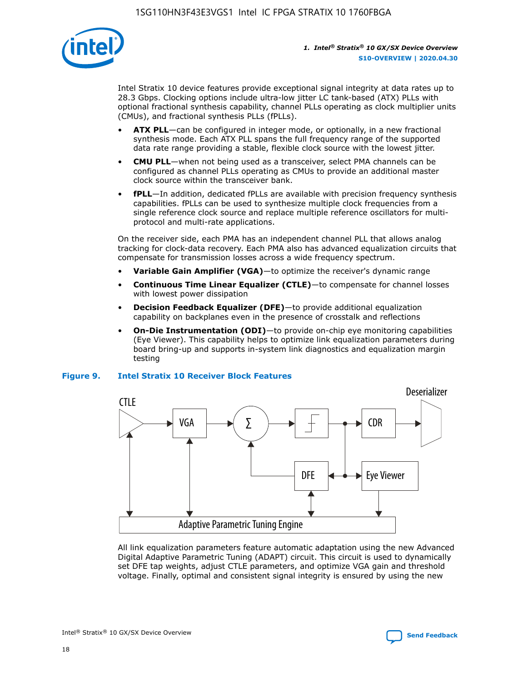

Intel Stratix 10 device features provide exceptional signal integrity at data rates up to 28.3 Gbps. Clocking options include ultra-low jitter LC tank-based (ATX) PLLs with optional fractional synthesis capability, channel PLLs operating as clock multiplier units (CMUs), and fractional synthesis PLLs (fPLLs).

- **ATX PLL**—can be configured in integer mode, or optionally, in a new fractional synthesis mode. Each ATX PLL spans the full frequency range of the supported data rate range providing a stable, flexible clock source with the lowest jitter.
- **CMU PLL**—when not being used as a transceiver, select PMA channels can be configured as channel PLLs operating as CMUs to provide an additional master clock source within the transceiver bank.
- **fPLL**—In addition, dedicated fPLLs are available with precision frequency synthesis capabilities. fPLLs can be used to synthesize multiple clock frequencies from a single reference clock source and replace multiple reference oscillators for multiprotocol and multi-rate applications.

On the receiver side, each PMA has an independent channel PLL that allows analog tracking for clock-data recovery. Each PMA also has advanced equalization circuits that compensate for transmission losses across a wide frequency spectrum.

- **Variable Gain Amplifier (VGA)**—to optimize the receiver's dynamic range
- **Continuous Time Linear Equalizer (CTLE)**—to compensate for channel losses with lowest power dissipation
- **Decision Feedback Equalizer (DFE)**—to provide additional equalization capability on backplanes even in the presence of crosstalk and reflections
- **On-Die Instrumentation (ODI)**—to provide on-chip eye monitoring capabilities (Eye Viewer). This capability helps to optimize link equalization parameters during board bring-up and supports in-system link diagnostics and equalization margin testing

### **Figure 9. Intel Stratix 10 Receiver Block Features**



All link equalization parameters feature automatic adaptation using the new Advanced Digital Adaptive Parametric Tuning (ADAPT) circuit. This circuit is used to dynamically set DFE tap weights, adjust CTLE parameters, and optimize VGA gain and threshold voltage. Finally, optimal and consistent signal integrity is ensured by using the new



Intel<sup>®</sup> Stratix<sup>®</sup> 10 GX/SX Device Overview **[Send Feedback](mailto:FPGAtechdocfeedback@intel.com?subject=Feedback%20on%20Intel%20Stratix%2010%20GX/SX%20Device%20Overview%20(S10-OVERVIEW%202020.04.30)&body=We%20appreciate%20your%20feedback.%20In%20your%20comments,%20also%20specify%20the%20page%20number%20or%20paragraph.%20Thank%20you.)** Send Feedback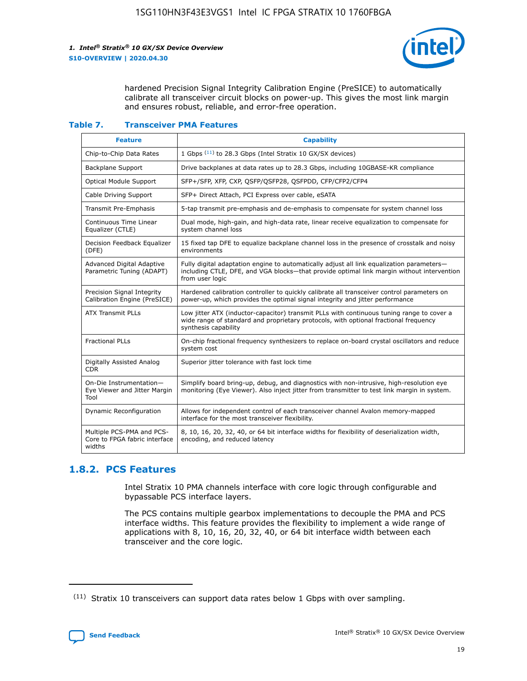

hardened Precision Signal Integrity Calibration Engine (PreSICE) to automatically calibrate all transceiver circuit blocks on power-up. This gives the most link margin and ensures robust, reliable, and error-free operation.

#### **Table 7. Transceiver PMA Features**

| <b>Feature</b>                                                       | <b>Capability</b>                                                                                                                                                                                         |
|----------------------------------------------------------------------|-----------------------------------------------------------------------------------------------------------------------------------------------------------------------------------------------------------|
| Chip-to-Chip Data Rates                                              | 1 Gbps (11) to 28.3 Gbps (Intel Stratix 10 GX/SX devices)                                                                                                                                                 |
| <b>Backplane Support</b>                                             | Drive backplanes at data rates up to 28.3 Gbps, including 10GBASE-KR compliance                                                                                                                           |
| Optical Module Support                                               | SFP+/SFP, XFP, CXP, QSFP/QSFP28, QSFPDD, CFP/CFP2/CFP4                                                                                                                                                    |
| Cable Driving Support                                                | SFP+ Direct Attach, PCI Express over cable, eSATA                                                                                                                                                         |
| <b>Transmit Pre-Emphasis</b>                                         | 5-tap transmit pre-emphasis and de-emphasis to compensate for system channel loss                                                                                                                         |
| Continuous Time Linear<br>Equalizer (CTLE)                           | Dual mode, high-gain, and high-data rate, linear receive equalization to compensate for<br>system channel loss                                                                                            |
| Decision Feedback Equalizer<br>(DFE)                                 | 15 fixed tap DFE to equalize backplane channel loss in the presence of crosstalk and noisy<br>environments                                                                                                |
| Advanced Digital Adaptive<br>Parametric Tuning (ADAPT)               | Fully digital adaptation engine to automatically adjust all link equalization parameters-<br>including CTLE, DFE, and VGA blocks-that provide optimal link margin without intervention<br>from user logic |
| Precision Signal Integrity<br>Calibration Engine (PreSICE)           | Hardened calibration controller to quickly calibrate all transceiver control parameters on<br>power-up, which provides the optimal signal integrity and jitter performance                                |
| <b>ATX Transmit PLLs</b>                                             | Low jitter ATX (inductor-capacitor) transmit PLLs with continuous tuning range to cover a<br>wide range of standard and proprietary protocols, with optional fractional frequency<br>synthesis capability |
| <b>Fractional PLLs</b>                                               | On-chip fractional frequency synthesizers to replace on-board crystal oscillators and reduce<br>system cost                                                                                               |
| Digitally Assisted Analog<br>CDR.                                    | Superior jitter tolerance with fast lock time                                                                                                                                                             |
| On-Die Instrumentation-<br>Eye Viewer and Jitter Margin<br>Tool      | Simplify board bring-up, debug, and diagnostics with non-intrusive, high-resolution eye<br>monitoring (Eye Viewer). Also inject jitter from transmitter to test link margin in system.                    |
| Dynamic Reconfiguration                                              | Allows for independent control of each transceiver channel Avalon memory-mapped<br>interface for the most transceiver flexibility.                                                                        |
| Multiple PCS-PMA and PCS-<br>Core to FPGA fabric interface<br>widths | 8, 10, 16, 20, 32, 40, or 64 bit interface widths for flexibility of deserialization width,<br>encoding, and reduced latency                                                                              |

### **1.8.2. PCS Features**

Intel Stratix 10 PMA channels interface with core logic through configurable and bypassable PCS interface layers.

The PCS contains multiple gearbox implementations to decouple the PMA and PCS interface widths. This feature provides the flexibility to implement a wide range of applications with 8, 10, 16, 20, 32, 40, or 64 bit interface width between each transceiver and the core logic.

 $(11)$  Stratix 10 transceivers can support data rates below 1 Gbps with over sampling.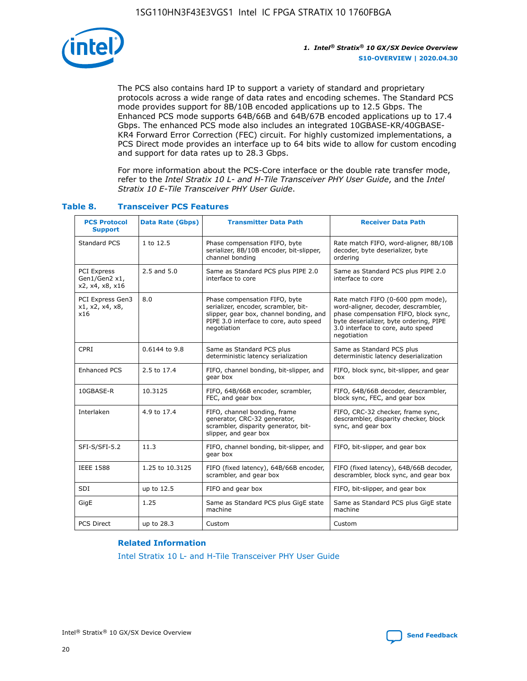

The PCS also contains hard IP to support a variety of standard and proprietary protocols across a wide range of data rates and encoding schemes. The Standard PCS mode provides support for 8B/10B encoded applications up to 12.5 Gbps. The Enhanced PCS mode supports 64B/66B and 64B/67B encoded applications up to 17.4 Gbps. The enhanced PCS mode also includes an integrated 10GBASE-KR/40GBASE-KR4 Forward Error Correction (FEC) circuit. For highly customized implementations, a PCS Direct mode provides an interface up to 64 bits wide to allow for custom encoding and support for data rates up to 28.3 Gbps.

For more information about the PCS-Core interface or the double rate transfer mode, refer to the *Intel Stratix 10 L- and H-Tile Transceiver PHY User Guide*, and the *Intel Stratix 10 E-Tile Transceiver PHY User Guide*.

| <b>PCS Protocol</b><br><b>Support</b>                  | <b>Data Rate (Gbps)</b> | <b>Transmitter Data Path</b>                                                                                                                                              | <b>Receiver Data Path</b>                                                                                                                                                                                      |
|--------------------------------------------------------|-------------------------|---------------------------------------------------------------------------------------------------------------------------------------------------------------------------|----------------------------------------------------------------------------------------------------------------------------------------------------------------------------------------------------------------|
| Standard PCS                                           | 1 to 12.5               | Phase compensation FIFO, byte<br>serializer, 8B/10B encoder, bit-slipper,<br>channel bonding                                                                              | Rate match FIFO, word-aligner, 8B/10B<br>decoder, byte deserializer, byte<br>ordering                                                                                                                          |
| <b>PCI Express</b><br>Gen1/Gen2 x1,<br>x2, x4, x8, x16 | 2.5 and 5.0             | Same as Standard PCS plus PIPE 2.0<br>interface to core                                                                                                                   | Same as Standard PCS plus PIPE 2.0<br>interface to core                                                                                                                                                        |
| PCI Express Gen3<br>x1, x2, x4, x8,<br>x16             | 8.0                     | Phase compensation FIFO, byte<br>serializer, encoder, scrambler, bit-<br>slipper, gear box, channel bonding, and<br>PIPE 3.0 interface to core, auto speed<br>negotiation | Rate match FIFO (0-600 ppm mode),<br>word-aligner, decoder, descrambler,<br>phase compensation FIFO, block sync,<br>byte deserializer, byte ordering, PIPE<br>3.0 interface to core, auto speed<br>negotiation |
| CPRI                                                   | 0.6144 to 9.8           | Same as Standard PCS plus<br>deterministic latency serialization                                                                                                          | Same as Standard PCS plus<br>deterministic latency deserialization                                                                                                                                             |
| <b>Enhanced PCS</b>                                    | 2.5 to 17.4             | FIFO, channel bonding, bit-slipper, and<br>gear box                                                                                                                       | FIFO, block sync, bit-slipper, and gear<br>box                                                                                                                                                                 |
| 10GBASE-R                                              | 10.3125                 | FIFO, 64B/66B encoder, scrambler,<br>FEC, and gear box                                                                                                                    | FIFO, 64B/66B decoder, descrambler,<br>block sync, FEC, and gear box                                                                                                                                           |
| Interlaken                                             | 4.9 to 17.4             | FIFO, channel bonding, frame<br>generator, CRC-32 generator,<br>scrambler, disparity generator, bit-<br>slipper, and gear box                                             | FIFO, CRC-32 checker, frame sync,<br>descrambler, disparity checker, block<br>sync, and gear box                                                                                                               |
| SFI-S/SFI-5.2                                          | 11.3                    | FIFO, channel bonding, bit-slipper, and<br>gear box                                                                                                                       | FIFO, bit-slipper, and gear box                                                                                                                                                                                |
| <b>IEEE 1588</b>                                       | 1.25 to 10.3125         | FIFO (fixed latency), 64B/66B encoder,<br>scrambler, and gear box                                                                                                         | FIFO (fixed latency), 64B/66B decoder,<br>descrambler, block sync, and gear box                                                                                                                                |
| SDI                                                    | up to 12.5              | FIFO and gear box                                                                                                                                                         | FIFO, bit-slipper, and gear box                                                                                                                                                                                |
| GigE                                                   | 1.25                    | Same as Standard PCS plus GigE state<br>machine                                                                                                                           | Same as Standard PCS plus GigE state<br>machine                                                                                                                                                                |
| <b>PCS Direct</b>                                      | up to 28.3              | Custom                                                                                                                                                                    | Custom                                                                                                                                                                                                         |

### **Table 8. Transceiver PCS Features**

### **Related Information**

[Intel Stratix 10 L- and H-Tile Transceiver PHY User Guide](https://www.altera.com/documentation/wry1479165198810.html)

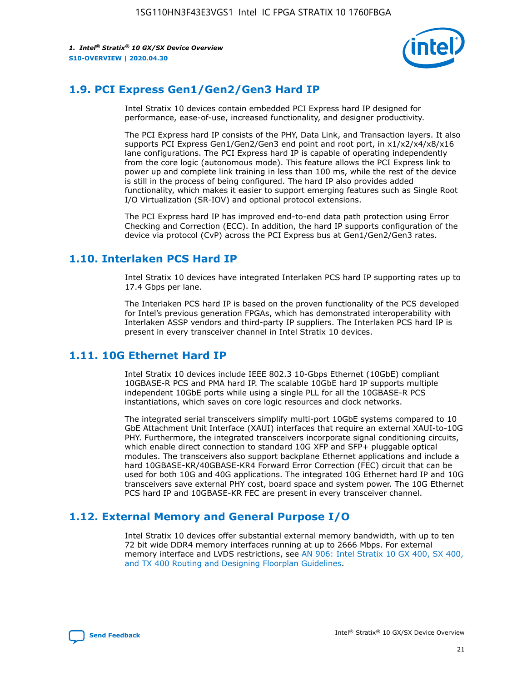

### **1.9. PCI Express Gen1/Gen2/Gen3 Hard IP**

Intel Stratix 10 devices contain embedded PCI Express hard IP designed for performance, ease-of-use, increased functionality, and designer productivity.

The PCI Express hard IP consists of the PHY, Data Link, and Transaction layers. It also supports PCI Express Gen1/Gen2/Gen3 end point and root port, in x1/x2/x4/x8/x16 lane configurations. The PCI Express hard IP is capable of operating independently from the core logic (autonomous mode). This feature allows the PCI Express link to power up and complete link training in less than 100 ms, while the rest of the device is still in the process of being configured. The hard IP also provides added functionality, which makes it easier to support emerging features such as Single Root I/O Virtualization (SR-IOV) and optional protocol extensions.

The PCI Express hard IP has improved end-to-end data path protection using Error Checking and Correction (ECC). In addition, the hard IP supports configuration of the device via protocol (CvP) across the PCI Express bus at Gen1/Gen2/Gen3 rates.

### **1.10. Interlaken PCS Hard IP**

Intel Stratix 10 devices have integrated Interlaken PCS hard IP supporting rates up to 17.4 Gbps per lane.

The Interlaken PCS hard IP is based on the proven functionality of the PCS developed for Intel's previous generation FPGAs, which has demonstrated interoperability with Interlaken ASSP vendors and third-party IP suppliers. The Interlaken PCS hard IP is present in every transceiver channel in Intel Stratix 10 devices.

### **1.11. 10G Ethernet Hard IP**

Intel Stratix 10 devices include IEEE 802.3 10-Gbps Ethernet (10GbE) compliant 10GBASE-R PCS and PMA hard IP. The scalable 10GbE hard IP supports multiple independent 10GbE ports while using a single PLL for all the 10GBASE-R PCS instantiations, which saves on core logic resources and clock networks.

The integrated serial transceivers simplify multi-port 10GbE systems compared to 10 GbE Attachment Unit Interface (XAUI) interfaces that require an external XAUI-to-10G PHY. Furthermore, the integrated transceivers incorporate signal conditioning circuits, which enable direct connection to standard 10G XFP and SFP+ pluggable optical modules. The transceivers also support backplane Ethernet applications and include a hard 10GBASE-KR/40GBASE-KR4 Forward Error Correction (FEC) circuit that can be used for both 10G and 40G applications. The integrated 10G Ethernet hard IP and 10G transceivers save external PHY cost, board space and system power. The 10G Ethernet PCS hard IP and 10GBASE-KR FEC are present in every transceiver channel.

### **1.12. External Memory and General Purpose I/O**

Intel Stratix 10 devices offer substantial external memory bandwidth, with up to ten 72 bit wide DDR4 memory interfaces running at up to 2666 Mbps. For external memory interface and LVDS restrictions, see [AN 906: Intel Stratix 10 GX 400, SX 400,](https://www.intel.com/content/www/us/en/programmable/documentation/sjf1574667190623.html#bft1574667627484) [and TX 400 Routing and Designing Floorplan Guidelines.](https://www.intel.com/content/www/us/en/programmable/documentation/sjf1574667190623.html#bft1574667627484)

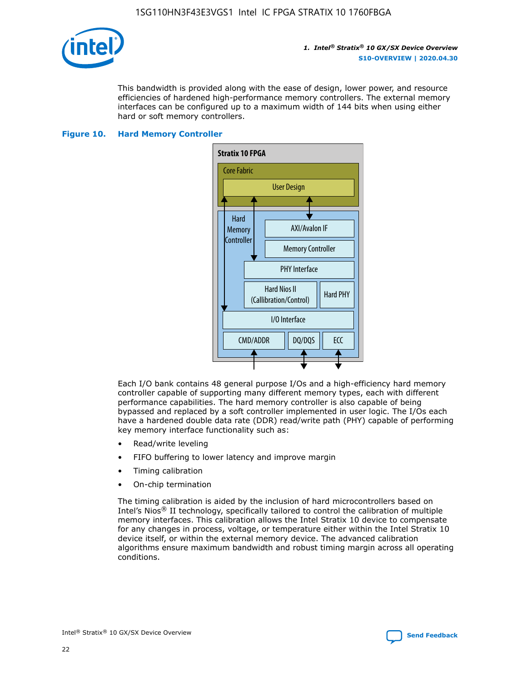

This bandwidth is provided along with the ease of design, lower power, and resource efficiencies of hardened high-performance memory controllers. The external memory interfaces can be configured up to a maximum width of 144 bits when using either hard or soft memory controllers.

### **Figure 10. Hard Memory Controller**



Each I/O bank contains 48 general purpose I/Os and a high-efficiency hard memory controller capable of supporting many different memory types, each with different performance capabilities. The hard memory controller is also capable of being bypassed and replaced by a soft controller implemented in user logic. The I/Os each have a hardened double data rate (DDR) read/write path (PHY) capable of performing key memory interface functionality such as:

- Read/write leveling
- FIFO buffering to lower latency and improve margin
- Timing calibration
- On-chip termination

The timing calibration is aided by the inclusion of hard microcontrollers based on Intel's Nios® II technology, specifically tailored to control the calibration of multiple memory interfaces. This calibration allows the Intel Stratix 10 device to compensate for any changes in process, voltage, or temperature either within the Intel Stratix 10 device itself, or within the external memory device. The advanced calibration algorithms ensure maximum bandwidth and robust timing margin across all operating conditions.

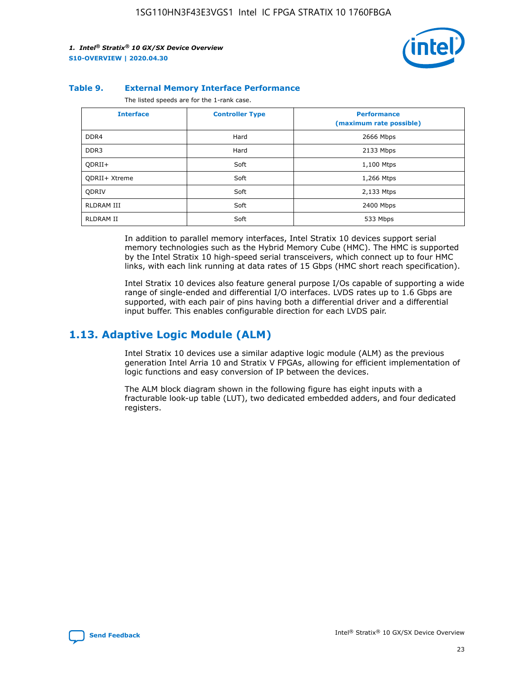

### **Table 9. External Memory Interface Performance**

The listed speeds are for the 1-rank case.

| <b>Interface</b> | <b>Controller Type</b> | <b>Performance</b><br>(maximum rate possible) |
|------------------|------------------------|-----------------------------------------------|
| DDR4             | Hard                   | 2666 Mbps                                     |
| DDR <sub>3</sub> | Hard                   | 2133 Mbps                                     |
| QDRII+           | Soft                   | 1,100 Mtps                                    |
| QDRII+ Xtreme    | Soft                   | 1,266 Mtps                                    |
| <b>ODRIV</b>     | Soft                   | 2,133 Mtps                                    |
| RLDRAM III       | Soft                   | 2400 Mbps                                     |
| <b>RLDRAM II</b> | Soft                   | 533 Mbps                                      |

In addition to parallel memory interfaces, Intel Stratix 10 devices support serial memory technologies such as the Hybrid Memory Cube (HMC). The HMC is supported by the Intel Stratix 10 high-speed serial transceivers, which connect up to four HMC links, with each link running at data rates of 15 Gbps (HMC short reach specification).

Intel Stratix 10 devices also feature general purpose I/Os capable of supporting a wide range of single-ended and differential I/O interfaces. LVDS rates up to 1.6 Gbps are supported, with each pair of pins having both a differential driver and a differential input buffer. This enables configurable direction for each LVDS pair.

### **1.13. Adaptive Logic Module (ALM)**

Intel Stratix 10 devices use a similar adaptive logic module (ALM) as the previous generation Intel Arria 10 and Stratix V FPGAs, allowing for efficient implementation of logic functions and easy conversion of IP between the devices.

The ALM block diagram shown in the following figure has eight inputs with a fracturable look-up table (LUT), two dedicated embedded adders, and four dedicated registers.

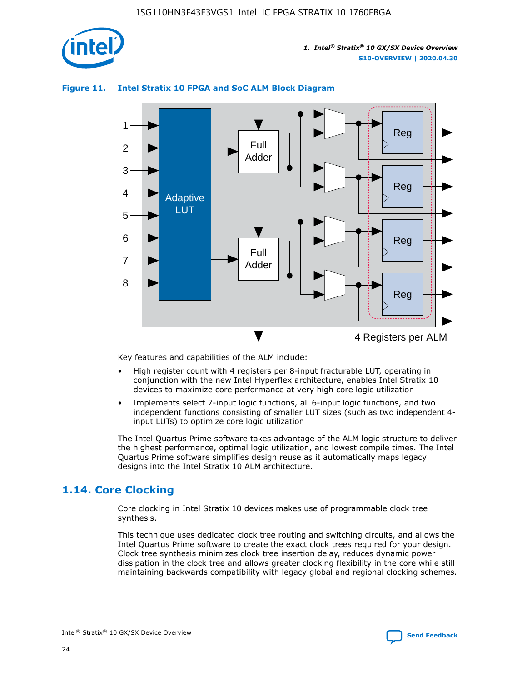

### **Figure 11. Intel Stratix 10 FPGA and SoC ALM Block Diagram**



Key features and capabilities of the ALM include:

- High register count with 4 registers per 8-input fracturable LUT, operating in conjunction with the new Intel Hyperflex architecture, enables Intel Stratix 10 devices to maximize core performance at very high core logic utilization
- Implements select 7-input logic functions, all 6-input logic functions, and two independent functions consisting of smaller LUT sizes (such as two independent 4 input LUTs) to optimize core logic utilization

The Intel Quartus Prime software takes advantage of the ALM logic structure to deliver the highest performance, optimal logic utilization, and lowest compile times. The Intel Quartus Prime software simplifies design reuse as it automatically maps legacy designs into the Intel Stratix 10 ALM architecture.

### **1.14. Core Clocking**

Core clocking in Intel Stratix 10 devices makes use of programmable clock tree synthesis.

This technique uses dedicated clock tree routing and switching circuits, and allows the Intel Quartus Prime software to create the exact clock trees required for your design. Clock tree synthesis minimizes clock tree insertion delay, reduces dynamic power dissipation in the clock tree and allows greater clocking flexibility in the core while still maintaining backwards compatibility with legacy global and regional clocking schemes.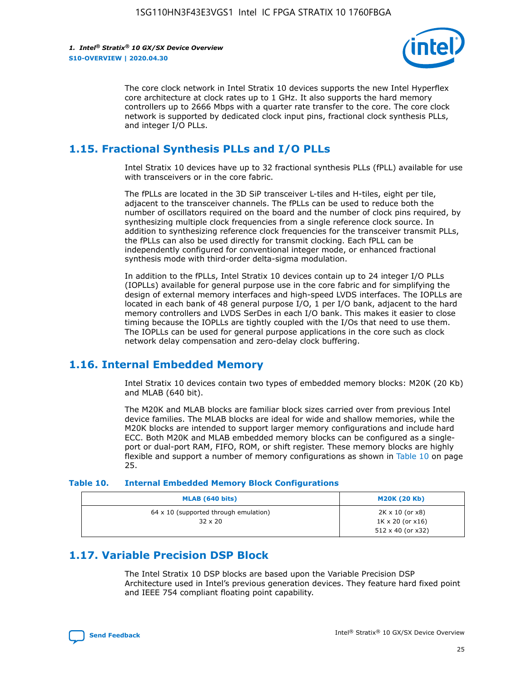

The core clock network in Intel Stratix 10 devices supports the new Intel Hyperflex core architecture at clock rates up to 1 GHz. It also supports the hard memory controllers up to 2666 Mbps with a quarter rate transfer to the core. The core clock network is supported by dedicated clock input pins, fractional clock synthesis PLLs, and integer I/O PLLs.

### **1.15. Fractional Synthesis PLLs and I/O PLLs**

Intel Stratix 10 devices have up to 32 fractional synthesis PLLs (fPLL) available for use with transceivers or in the core fabric.

The fPLLs are located in the 3D SiP transceiver L-tiles and H-tiles, eight per tile, adjacent to the transceiver channels. The fPLLs can be used to reduce both the number of oscillators required on the board and the number of clock pins required, by synthesizing multiple clock frequencies from a single reference clock source. In addition to synthesizing reference clock frequencies for the transceiver transmit PLLs, the fPLLs can also be used directly for transmit clocking. Each fPLL can be independently configured for conventional integer mode, or enhanced fractional synthesis mode with third-order delta-sigma modulation.

In addition to the fPLLs, Intel Stratix 10 devices contain up to 24 integer I/O PLLs (IOPLLs) available for general purpose use in the core fabric and for simplifying the design of external memory interfaces and high-speed LVDS interfaces. The IOPLLs are located in each bank of 48 general purpose I/O, 1 per I/O bank, adjacent to the hard memory controllers and LVDS SerDes in each I/O bank. This makes it easier to close timing because the IOPLLs are tightly coupled with the I/Os that need to use them. The IOPLLs can be used for general purpose applications in the core such as clock network delay compensation and zero-delay clock buffering.

### **1.16. Internal Embedded Memory**

Intel Stratix 10 devices contain two types of embedded memory blocks: M20K (20 Kb) and MLAB (640 bit).

The M20K and MLAB blocks are familiar block sizes carried over from previous Intel device families. The MLAB blocks are ideal for wide and shallow memories, while the M20K blocks are intended to support larger memory configurations and include hard ECC. Both M20K and MLAB embedded memory blocks can be configured as a singleport or dual-port RAM, FIFO, ROM, or shift register. These memory blocks are highly flexible and support a number of memory configurations as shown in Table 10 on page 25.

### **Table 10. Internal Embedded Memory Block Configurations**

| MLAB (640 bits)                                                | <b>M20K (20 Kb)</b>                                                          |
|----------------------------------------------------------------|------------------------------------------------------------------------------|
| $64 \times 10$ (supported through emulation)<br>$32 \times 20$ | 2K x 10 (or x8)<br>$1K \times 20$ (or $x16$ )<br>$512 \times 40$ (or $x32$ ) |

### **1.17. Variable Precision DSP Block**

The Intel Stratix 10 DSP blocks are based upon the Variable Precision DSP Architecture used in Intel's previous generation devices. They feature hard fixed point and IEEE 754 compliant floating point capability.

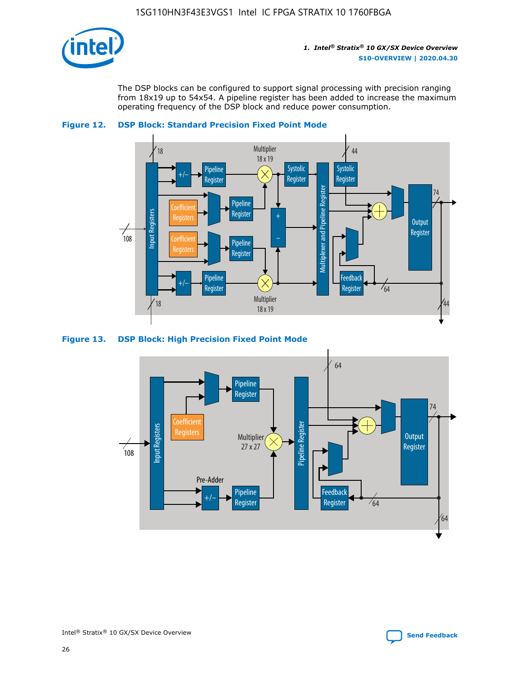

The DSP blocks can be configured to support signal processing with precision ranging from 18x19 up to 54x54. A pipeline register has been added to increase the maximum operating frequency of the DSP block and reduce power consumption.





#### **Figure 13. DSP Block: High Precision Fixed Point Mode**

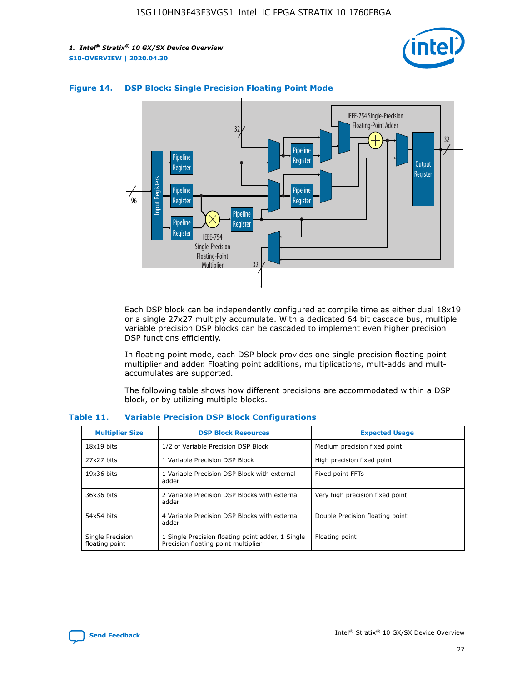



### **Figure 14. DSP Block: Single Precision Floating Point Mode**

Each DSP block can be independently configured at compile time as either dual 18x19 or a single 27x27 multiply accumulate. With a dedicated 64 bit cascade bus, multiple variable precision DSP blocks can be cascaded to implement even higher precision DSP functions efficiently.

In floating point mode, each DSP block provides one single precision floating point multiplier and adder. Floating point additions, multiplications, mult-adds and multaccumulates are supported.

The following table shows how different precisions are accommodated within a DSP block, or by utilizing multiple blocks.

| <b>Multiplier Size</b>             | <b>DSP Block Resources</b>                                                               | <b>Expected Usage</b>           |
|------------------------------------|------------------------------------------------------------------------------------------|---------------------------------|
| $18x19$ bits                       | 1/2 of Variable Precision DSP Block                                                      | Medium precision fixed point    |
| 27x27 bits                         | 1 Variable Precision DSP Block                                                           | High precision fixed point      |
| $19x36$ bits                       | 1 Variable Precision DSP Block with external<br>adder                                    | Fixed point FFTs                |
| 36x36 bits                         | 2 Variable Precision DSP Blocks with external<br>adder                                   | Very high precision fixed point |
| 54x54 bits                         | 4 Variable Precision DSP Blocks with external<br>adder                                   | Double Precision floating point |
| Single Precision<br>floating point | 1 Single Precision floating point adder, 1 Single<br>Precision floating point multiplier | Floating point                  |

#### **Table 11. Variable Precision DSP Block Configurations**

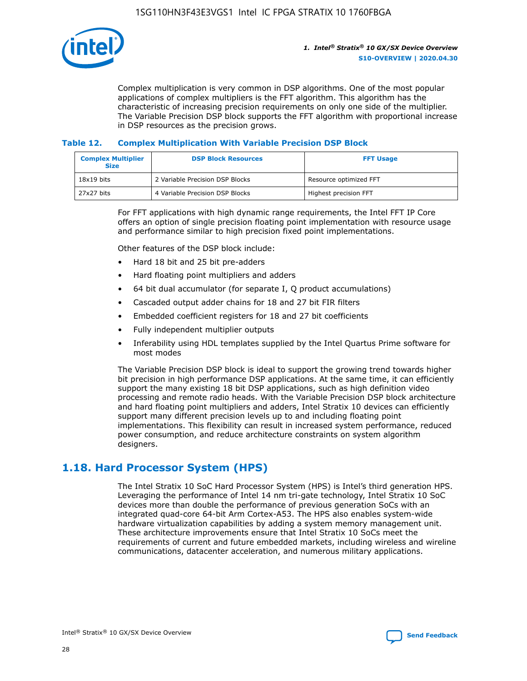

Complex multiplication is very common in DSP algorithms. One of the most popular applications of complex multipliers is the FFT algorithm. This algorithm has the characteristic of increasing precision requirements on only one side of the multiplier. The Variable Precision DSP block supports the FFT algorithm with proportional increase in DSP resources as the precision grows.

### **Table 12. Complex Multiplication With Variable Precision DSP Block**

| <b>Complex Multiplier</b><br><b>Size</b> | <b>DSP Block Resources</b>      | <b>FFT Usage</b>       |
|------------------------------------------|---------------------------------|------------------------|
| $18x19$ bits                             | 2 Variable Precision DSP Blocks | Resource optimized FFT |
| 27x27 bits                               | 4 Variable Precision DSP Blocks | Highest precision FFT  |

For FFT applications with high dynamic range requirements, the Intel FFT IP Core offers an option of single precision floating point implementation with resource usage and performance similar to high precision fixed point implementations.

Other features of the DSP block include:

- Hard 18 bit and 25 bit pre-adders
- Hard floating point multipliers and adders
- 64 bit dual accumulator (for separate I, Q product accumulations)
- Cascaded output adder chains for 18 and 27 bit FIR filters
- Embedded coefficient registers for 18 and 27 bit coefficients
- Fully independent multiplier outputs
- Inferability using HDL templates supplied by the Intel Quartus Prime software for most modes

The Variable Precision DSP block is ideal to support the growing trend towards higher bit precision in high performance DSP applications. At the same time, it can efficiently support the many existing 18 bit DSP applications, such as high definition video processing and remote radio heads. With the Variable Precision DSP block architecture and hard floating point multipliers and adders, Intel Stratix 10 devices can efficiently support many different precision levels up to and including floating point implementations. This flexibility can result in increased system performance, reduced power consumption, and reduce architecture constraints on system algorithm designers.

### **1.18. Hard Processor System (HPS)**

The Intel Stratix 10 SoC Hard Processor System (HPS) is Intel's third generation HPS. Leveraging the performance of Intel 14 nm tri-gate technology, Intel Stratix 10 SoC devices more than double the performance of previous generation SoCs with an integrated quad-core 64-bit Arm Cortex-A53. The HPS also enables system-wide hardware virtualization capabilities by adding a system memory management unit. These architecture improvements ensure that Intel Stratix 10 SoCs meet the requirements of current and future embedded markets, including wireless and wireline communications, datacenter acceleration, and numerous military applications.

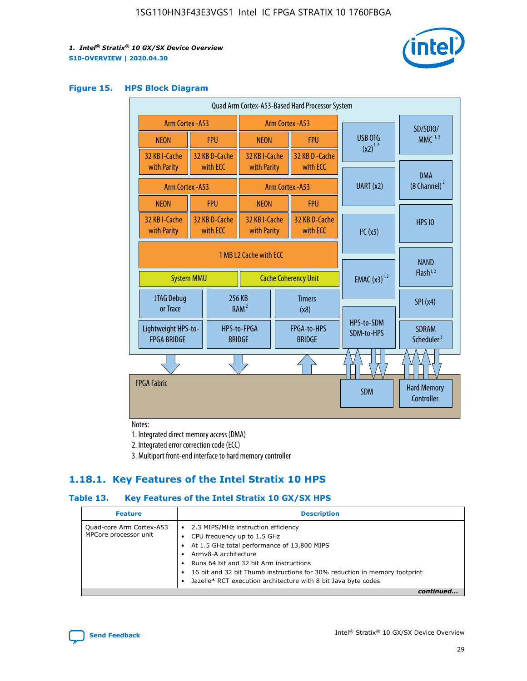

### **Figure 15. HPS Block Diagram**

| Quad Arm Cortex-A53-Based Hard Processor System |  |                             |                                           |                          |                                     |                          |                                        |
|-------------------------------------------------|--|-----------------------------|-------------------------------------------|--------------------------|-------------------------------------|--------------------------|----------------------------------------|
| <b>Arm Cortex - A53</b>                         |  |                             | Arm Cortex - A53                          |                          |                                     | SD/SDIO/                 |                                        |
| <b>NEON</b>                                     |  | <b>FPU</b>                  | <b>NEON</b>                               |                          | <b>FPU</b>                          | USB OTG                  | $MMC$ <sup>1,2</sup>                   |
| 32 KB I-Cache<br>with Parity                    |  | 32 KB D-Cache<br>with ECC   | 32 KB I-Cache<br>with Parity              |                          | 32 KB D - Cache<br>with ECC         | $(x2)^{1,2}$             |                                        |
|                                                 |  |                             |                                           |                          |                                     | UART (x2)                | <b>DMA</b><br>$(8 \text{ Channel})^2$  |
| Arm Cortex - A53                                |  |                             |                                           |                          | Arm Cortex - A53                    |                          |                                        |
| <b>NEON</b>                                     |  | <b>FPU</b>                  | <b>NEON</b>                               |                          | <b>FPU</b>                          |                          |                                        |
| 32 KB I-Cache<br>with Parity                    |  | 32 KB D-Cache<br>with ECC   | 32 KB I-Cache<br>with Parity              |                          | 32 KB D-Cache<br>with ECC           | I <sup>2</sup> C(x5)     | <b>HPS 10</b>                          |
| 1 MB L2 Cache with ECC<br><b>System MMU</b>     |  | <b>Cache Coherency Unit</b> |                                           | <b>EMAC</b> $(x3)^{1,2}$ | <b>NAND</b><br>Flash <sup>1,2</sup> |                          |                                        |
| JTAG Debug<br>or Trace                          |  | 256 KB                      | <b>Timers</b><br>RAM <sup>2</sup><br>(x8) |                          |                                     | SPI(x4)                  |                                        |
| Lightweight HPS-to-<br><b>FPGA BRIDGE</b>       |  |                             | HPS-to-FPGA<br><b>BRIDGE</b>              |                          | FPGA-to-HPS<br><b>BRIDGE</b>        | HPS-to-SDM<br>SDM-to-HPS | <b>SDRAM</b><br>Scheduler <sup>3</sup> |
|                                                 |  |                             |                                           |                          |                                     |                          |                                        |
| <b>FPGA Fabric</b>                              |  |                             |                                           |                          |                                     | <b>SDM</b>               | <b>Hard Memory</b><br>Controller       |

Notes:

1. Integrated direct memory access (DMA)

2. Integrated error correction code (ECC)

3. Multiport front-end interface to hard memory controller

### **1.18.1. Key Features of the Intel Stratix 10 HPS**

### **Table 13. Key Features of the Intel Stratix 10 GX/SX HPS**

| <b>Feature</b>                                    | <b>Description</b>                                                                                                                                                                                                                                                                                                                     |
|---------------------------------------------------|----------------------------------------------------------------------------------------------------------------------------------------------------------------------------------------------------------------------------------------------------------------------------------------------------------------------------------------|
| Quad-core Arm Cortex-A53<br>MPCore processor unit | • 2.3 MIPS/MHz instruction efficiency<br>CPU frequency up to 1.5 GHz<br>At 1.5 GHz total performance of 13,800 MIPS<br>Army8-A architecture<br>Runs 64 bit and 32 bit Arm instructions<br>16 bit and 32 bit Thumb instructions for 30% reduction in memory footprint<br>Jazelle* RCT execution architecture with 8 bit Java byte codes |
|                                                   |                                                                                                                                                                                                                                                                                                                                        |

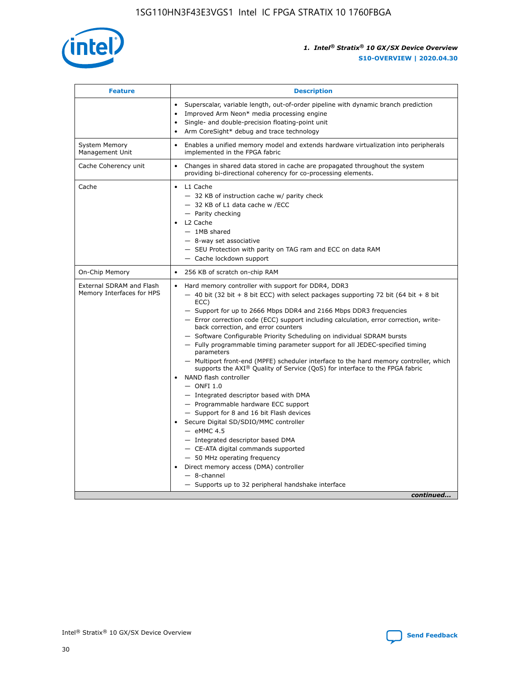

| <b>Feature</b>                                        | <b>Description</b>                                                                                                                                                                                                                                                                                                                                                                                                                                                                                                                                                                                                                                                                                                                                                                                                                                                                                                                                                                                                                                                                                                                                                                                                       |  |
|-------------------------------------------------------|--------------------------------------------------------------------------------------------------------------------------------------------------------------------------------------------------------------------------------------------------------------------------------------------------------------------------------------------------------------------------------------------------------------------------------------------------------------------------------------------------------------------------------------------------------------------------------------------------------------------------------------------------------------------------------------------------------------------------------------------------------------------------------------------------------------------------------------------------------------------------------------------------------------------------------------------------------------------------------------------------------------------------------------------------------------------------------------------------------------------------------------------------------------------------------------------------------------------------|--|
|                                                       | Superscalar, variable length, out-of-order pipeline with dynamic branch prediction<br>Improved Arm Neon* media processing engine<br>$\bullet$<br>Single- and double-precision floating-point unit<br>Arm CoreSight* debug and trace technology<br>$\bullet$                                                                                                                                                                                                                                                                                                                                                                                                                                                                                                                                                                                                                                                                                                                                                                                                                                                                                                                                                              |  |
| <b>System Memory</b><br>Management Unit               | Enables a unified memory model and extends hardware virtualization into peripherals<br>implemented in the FPGA fabric                                                                                                                                                                                                                                                                                                                                                                                                                                                                                                                                                                                                                                                                                                                                                                                                                                                                                                                                                                                                                                                                                                    |  |
| Cache Coherency unit                                  | Changes in shared data stored in cache are propagated throughout the system<br>$\bullet$<br>providing bi-directional coherency for co-processing elements.                                                                                                                                                                                                                                                                                                                                                                                                                                                                                                                                                                                                                                                                                                                                                                                                                                                                                                                                                                                                                                                               |  |
| Cache                                                 | L1 Cache<br>$\bullet$<br>- 32 KB of instruction cache w/ parity check<br>- 32 KB of L1 data cache w /ECC<br>- Parity checking<br>L <sub>2</sub> Cache<br>- 1MB shared<br>- 8-way set associative<br>- SEU Protection with parity on TAG ram and ECC on data RAM<br>- Cache lockdown support                                                                                                                                                                                                                                                                                                                                                                                                                                                                                                                                                                                                                                                                                                                                                                                                                                                                                                                              |  |
| On-Chip Memory                                        | 256 KB of scratch on-chip RAM                                                                                                                                                                                                                                                                                                                                                                                                                                                                                                                                                                                                                                                                                                                                                                                                                                                                                                                                                                                                                                                                                                                                                                                            |  |
| External SDRAM and Flash<br>Memory Interfaces for HPS | Hard memory controller with support for DDR4, DDR3<br>$\bullet$<br>$-$ 40 bit (32 bit + 8 bit ECC) with select packages supporting 72 bit (64 bit + 8 bit<br>ECC)<br>- Support for up to 2666 Mbps DDR4 and 2166 Mbps DDR3 frequencies<br>- Error correction code (ECC) support including calculation, error correction, write-<br>back correction, and error counters<br>- Software Configurable Priority Scheduling on individual SDRAM bursts<br>- Fully programmable timing parameter support for all JEDEC-specified timing<br>parameters<br>- Multiport front-end (MPFE) scheduler interface to the hard memory controller, which<br>supports the $AXI^{\circledR}$ Quality of Service (QoS) for interface to the FPGA fabric<br>NAND flash controller<br>$-$ ONFI 1.0<br>- Integrated descriptor based with DMA<br>- Programmable hardware ECC support<br>- Support for 8 and 16 bit Flash devices<br>Secure Digital SD/SDIO/MMC controller<br>$-$ eMMC 4.5<br>- Integrated descriptor based DMA<br>- CE-ATA digital commands supported<br>- 50 MHz operating frequency<br>Direct memory access (DMA) controller<br>$\bullet$<br>$-$ 8-channel<br>- Supports up to 32 peripheral handshake interface<br>continued |  |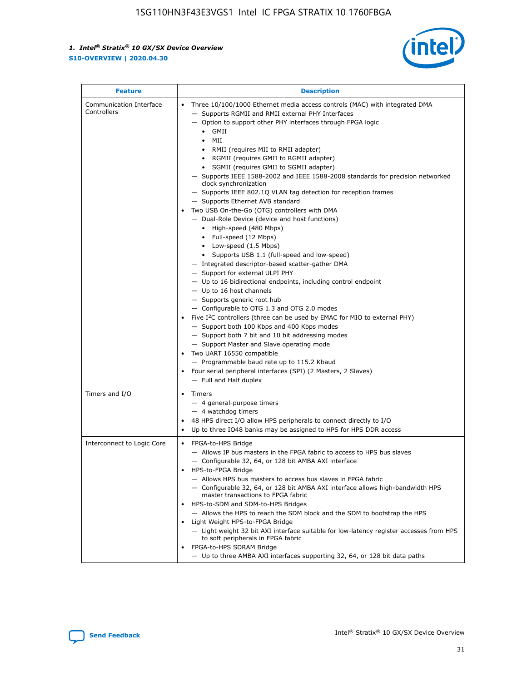

| <b>Feature</b>                         | <b>Description</b>                                                                                                                                                                                                                                                                                                                                                                                                                                                                                                                                                                                                                                                                                                                                                                                                                                                                                                                                                                                                                                                                                                                                                                                                                                                                                                                                                                                                                                                                                                     |
|----------------------------------------|------------------------------------------------------------------------------------------------------------------------------------------------------------------------------------------------------------------------------------------------------------------------------------------------------------------------------------------------------------------------------------------------------------------------------------------------------------------------------------------------------------------------------------------------------------------------------------------------------------------------------------------------------------------------------------------------------------------------------------------------------------------------------------------------------------------------------------------------------------------------------------------------------------------------------------------------------------------------------------------------------------------------------------------------------------------------------------------------------------------------------------------------------------------------------------------------------------------------------------------------------------------------------------------------------------------------------------------------------------------------------------------------------------------------------------------------------------------------------------------------------------------------|
| Communication Interface<br>Controllers | Three 10/100/1000 Ethernet media access controls (MAC) with integrated DMA<br>- Supports RGMII and RMII external PHY Interfaces<br>- Option to support other PHY interfaces through FPGA logic<br>$\bullet$ GMII<br>MII<br>$\bullet$<br>RMII (requires MII to RMII adapter)<br>$\bullet$<br>• RGMII (requires GMII to RGMII adapter)<br>• SGMII (requires GMII to SGMII adapter)<br>- Supports IEEE 1588-2002 and IEEE 1588-2008 standards for precision networked<br>clock synchronization<br>- Supports IEEE 802.1Q VLAN tag detection for reception frames<br>- Supports Ethernet AVB standard<br>Two USB On-the-Go (OTG) controllers with DMA<br>- Dual-Role Device (device and host functions)<br>• High-speed (480 Mbps)<br>• Full-speed (12 Mbps)<br>• Low-speed (1.5 Mbps)<br>• Supports USB 1.1 (full-speed and low-speed)<br>- Integrated descriptor-based scatter-gather DMA<br>- Support for external ULPI PHY<br>- Up to 16 bidirectional endpoints, including control endpoint<br>$-$ Up to 16 host channels<br>- Supports generic root hub<br>- Configurable to OTG 1.3 and OTG 2.0 modes<br>Five I <sup>2</sup> C controllers (three can be used by EMAC for MIO to external PHY)<br>- Support both 100 Kbps and 400 Kbps modes<br>- Support both 7 bit and 10 bit addressing modes<br>- Support Master and Slave operating mode<br>Two UART 16550 compatible<br>- Programmable baud rate up to 115.2 Kbaud<br>Four serial peripheral interfaces (SPI) (2 Masters, 2 Slaves)<br>- Full and Half duplex |
| Timers and I/O                         | • Timers<br>- 4 general-purpose timers<br>$-4$ watchdog timers<br>48 HPS direct I/O allow HPS peripherals to connect directly to I/O<br>Up to three IO48 banks may be assigned to HPS for HPS DDR access                                                                                                                                                                                                                                                                                                                                                                                                                                                                                                                                                                                                                                                                                                                                                                                                                                                                                                                                                                                                                                                                                                                                                                                                                                                                                                               |
| Interconnect to Logic Core             | • FPGA-to-HPS Bridge<br>- Allows IP bus masters in the FPGA fabric to access to HPS bus slaves<br>- Configurable 32, 64, or 128 bit AMBA AXI interface<br>HPS-to-FPGA Bridge<br>- Allows HPS bus masters to access bus slaves in FPGA fabric<br>- Configurable 32, 64, or 128 bit AMBA AXI interface allows high-bandwidth HPS<br>master transactions to FPGA fabric<br>HPS-to-SDM and SDM-to-HPS Bridges<br>- Allows the HPS to reach the SDM block and the SDM to bootstrap the HPS<br>Light Weight HPS-to-FPGA Bridge<br>- Light weight 32 bit AXI interface suitable for low-latency register accesses from HPS<br>to soft peripherals in FPGA fabric<br>FPGA-to-HPS SDRAM Bridge<br>- Up to three AMBA AXI interfaces supporting 32, 64, or 128 bit data paths                                                                                                                                                                                                                                                                                                                                                                                                                                                                                                                                                                                                                                                                                                                                                    |

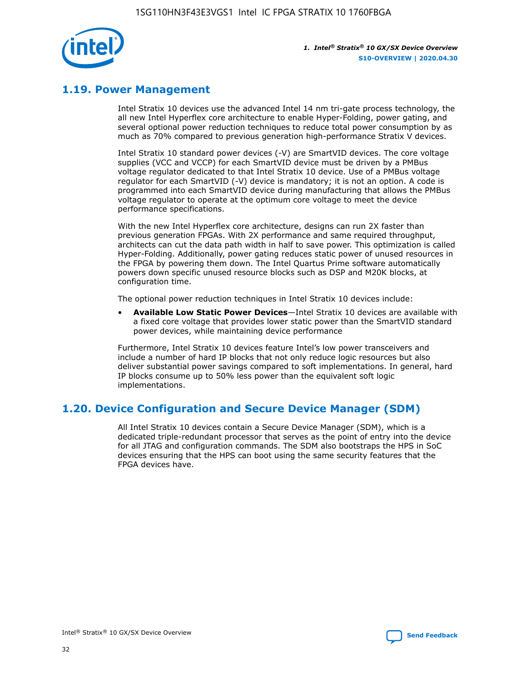

### **1.19. Power Management**

Intel Stratix 10 devices use the advanced Intel 14 nm tri-gate process technology, the all new Intel Hyperflex core architecture to enable Hyper-Folding, power gating, and several optional power reduction techniques to reduce total power consumption by as much as 70% compared to previous generation high-performance Stratix V devices.

Intel Stratix 10 standard power devices (-V) are SmartVID devices. The core voltage supplies (VCC and VCCP) for each SmartVID device must be driven by a PMBus voltage regulator dedicated to that Intel Stratix 10 device. Use of a PMBus voltage regulator for each SmartVID (-V) device is mandatory; it is not an option. A code is programmed into each SmartVID device during manufacturing that allows the PMBus voltage regulator to operate at the optimum core voltage to meet the device performance specifications.

With the new Intel Hyperflex core architecture, designs can run 2X faster than previous generation FPGAs. With 2X performance and same required throughput, architects can cut the data path width in half to save power. This optimization is called Hyper-Folding. Additionally, power gating reduces static power of unused resources in the FPGA by powering them down. The Intel Quartus Prime software automatically powers down specific unused resource blocks such as DSP and M20K blocks, at configuration time.

The optional power reduction techniques in Intel Stratix 10 devices include:

• **Available Low Static Power Devices**—Intel Stratix 10 devices are available with a fixed core voltage that provides lower static power than the SmartVID standard power devices, while maintaining device performance

Furthermore, Intel Stratix 10 devices feature Intel's low power transceivers and include a number of hard IP blocks that not only reduce logic resources but also deliver substantial power savings compared to soft implementations. In general, hard IP blocks consume up to 50% less power than the equivalent soft logic implementations.

### **1.20. Device Configuration and Secure Device Manager (SDM)**

All Intel Stratix 10 devices contain a Secure Device Manager (SDM), which is a dedicated triple-redundant processor that serves as the point of entry into the device for all JTAG and configuration commands. The SDM also bootstraps the HPS in SoC devices ensuring that the HPS can boot using the same security features that the FPGA devices have.

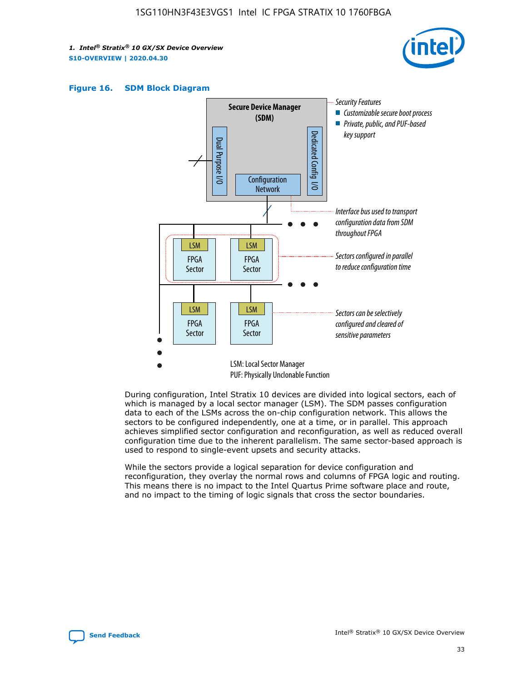





During configuration, Intel Stratix 10 devices are divided into logical sectors, each of which is managed by a local sector manager (LSM). The SDM passes configuration data to each of the LSMs across the on-chip configuration network. This allows the sectors to be configured independently, one at a time, or in parallel. This approach achieves simplified sector configuration and reconfiguration, as well as reduced overall configuration time due to the inherent parallelism. The same sector-based approach is used to respond to single-event upsets and security attacks.

While the sectors provide a logical separation for device configuration and reconfiguration, they overlay the normal rows and columns of FPGA logic and routing. This means there is no impact to the Intel Quartus Prime software place and route, and no impact to the timing of logic signals that cross the sector boundaries.

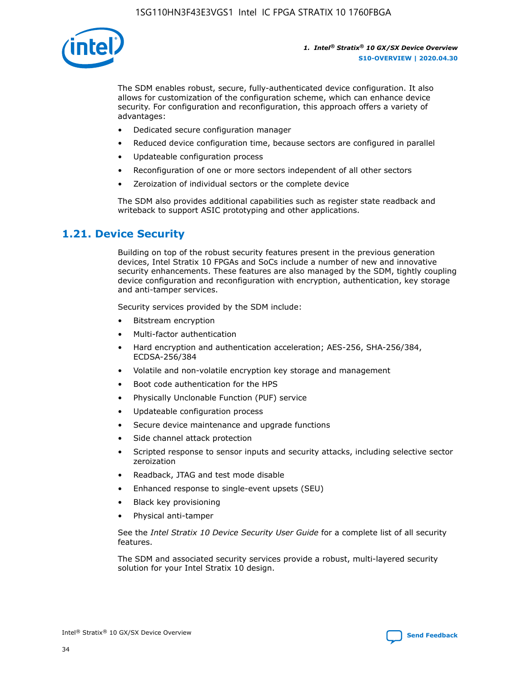

The SDM enables robust, secure, fully-authenticated device configuration. It also allows for customization of the configuration scheme, which can enhance device security. For configuration and reconfiguration, this approach offers a variety of advantages:

- Dedicated secure configuration manager
- Reduced device configuration time, because sectors are configured in parallel
- Updateable configuration process
- Reconfiguration of one or more sectors independent of all other sectors
- Zeroization of individual sectors or the complete device

The SDM also provides additional capabilities such as register state readback and writeback to support ASIC prototyping and other applications.

### **1.21. Device Security**

Building on top of the robust security features present in the previous generation devices, Intel Stratix 10 FPGAs and SoCs include a number of new and innovative security enhancements. These features are also managed by the SDM, tightly coupling device configuration and reconfiguration with encryption, authentication, key storage and anti-tamper services.

Security services provided by the SDM include:

- Bitstream encryption
- Multi-factor authentication
- Hard encryption and authentication acceleration; AES-256, SHA-256/384, ECDSA-256/384
- Volatile and non-volatile encryption key storage and management
- Boot code authentication for the HPS
- Physically Unclonable Function (PUF) service
- Updateable configuration process
- Secure device maintenance and upgrade functions
- Side channel attack protection
- Scripted response to sensor inputs and security attacks, including selective sector zeroization
- Readback, JTAG and test mode disable
- Enhanced response to single-event upsets (SEU)
- Black key provisioning
- Physical anti-tamper

See the *Intel Stratix 10 Device Security User Guide* for a complete list of all security features.

The SDM and associated security services provide a robust, multi-layered security solution for your Intel Stratix 10 design.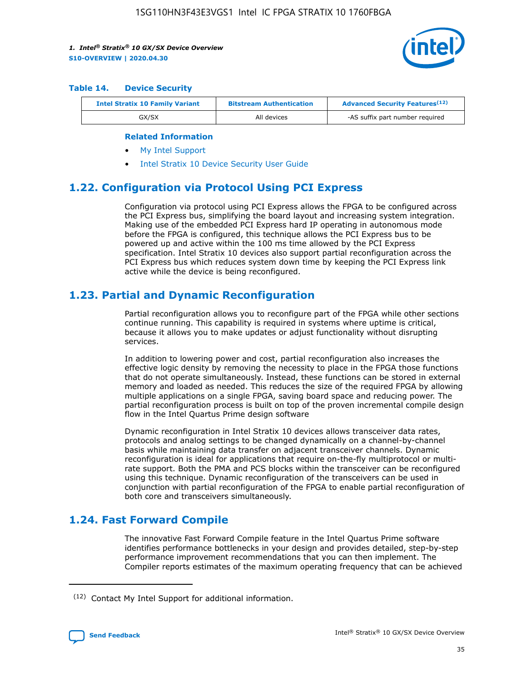

#### **Table 14. Device Security**

| <b>Intel Stratix 10 Family Variant</b> | <b>Bitstream Authentication</b> | <b>Advanced Security Features</b> <sup>(12)</sup> |
|----------------------------------------|---------------------------------|---------------------------------------------------|
| GX/SX                                  | All devices                     | -AS suffix part number required                   |

#### **Related Information**

- [My Intel Support](https://www.intel.com/content/www/us/en/programmable/my-intel/mal-home.html)
- [Intel Stratix 10 Device Security User Guide](https://www.intel.com/content/www/us/en/programmable/documentation/ndq1483601370898.html#wcd1483611014402)

### **1.22. Configuration via Protocol Using PCI Express**

Configuration via protocol using PCI Express allows the FPGA to be configured across the PCI Express bus, simplifying the board layout and increasing system integration. Making use of the embedded PCI Express hard IP operating in autonomous mode before the FPGA is configured, this technique allows the PCI Express bus to be powered up and active within the 100 ms time allowed by the PCI Express specification. Intel Stratix 10 devices also support partial reconfiguration across the PCI Express bus which reduces system down time by keeping the PCI Express link active while the device is being reconfigured.

### **1.23. Partial and Dynamic Reconfiguration**

Partial reconfiguration allows you to reconfigure part of the FPGA while other sections continue running. This capability is required in systems where uptime is critical, because it allows you to make updates or adjust functionality without disrupting services.

In addition to lowering power and cost, partial reconfiguration also increases the effective logic density by removing the necessity to place in the FPGA those functions that do not operate simultaneously. Instead, these functions can be stored in external memory and loaded as needed. This reduces the size of the required FPGA by allowing multiple applications on a single FPGA, saving board space and reducing power. The partial reconfiguration process is built on top of the proven incremental compile design flow in the Intel Quartus Prime design software

Dynamic reconfiguration in Intel Stratix 10 devices allows transceiver data rates, protocols and analog settings to be changed dynamically on a channel-by-channel basis while maintaining data transfer on adjacent transceiver channels. Dynamic reconfiguration is ideal for applications that require on-the-fly multiprotocol or multirate support. Both the PMA and PCS blocks within the transceiver can be reconfigured using this technique. Dynamic reconfiguration of the transceivers can be used in conjunction with partial reconfiguration of the FPGA to enable partial reconfiguration of both core and transceivers simultaneously.

### **1.24. Fast Forward Compile**

The innovative Fast Forward Compile feature in the Intel Quartus Prime software identifies performance bottlenecks in your design and provides detailed, step-by-step performance improvement recommendations that you can then implement. The Compiler reports estimates of the maximum operating frequency that can be achieved

<sup>(12)</sup> Contact My Intel Support for additional information.

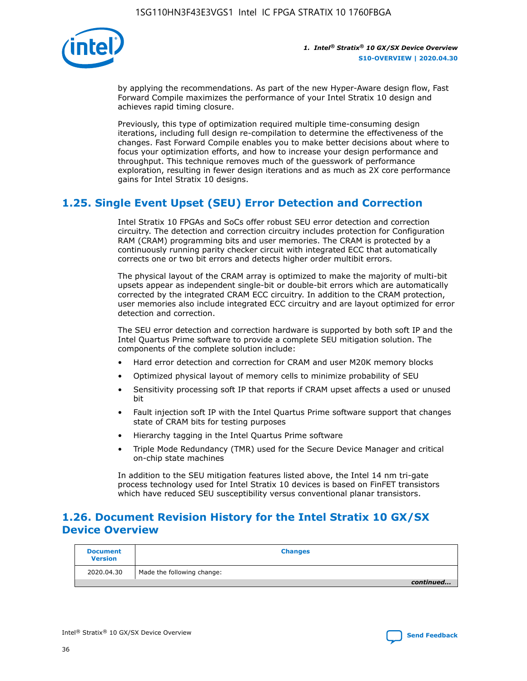

by applying the recommendations. As part of the new Hyper-Aware design flow, Fast Forward Compile maximizes the performance of your Intel Stratix 10 design and achieves rapid timing closure.

Previously, this type of optimization required multiple time-consuming design iterations, including full design re-compilation to determine the effectiveness of the changes. Fast Forward Compile enables you to make better decisions about where to focus your optimization efforts, and how to increase your design performance and throughput. This technique removes much of the guesswork of performance exploration, resulting in fewer design iterations and as much as 2X core performance gains for Intel Stratix 10 designs.

### **1.25. Single Event Upset (SEU) Error Detection and Correction**

Intel Stratix 10 FPGAs and SoCs offer robust SEU error detection and correction circuitry. The detection and correction circuitry includes protection for Configuration RAM (CRAM) programming bits and user memories. The CRAM is protected by a continuously running parity checker circuit with integrated ECC that automatically corrects one or two bit errors and detects higher order multibit errors.

The physical layout of the CRAM array is optimized to make the majority of multi-bit upsets appear as independent single-bit or double-bit errors which are automatically corrected by the integrated CRAM ECC circuitry. In addition to the CRAM protection, user memories also include integrated ECC circuitry and are layout optimized for error detection and correction.

The SEU error detection and correction hardware is supported by both soft IP and the Intel Quartus Prime software to provide a complete SEU mitigation solution. The components of the complete solution include:

- Hard error detection and correction for CRAM and user M20K memory blocks
- Optimized physical layout of memory cells to minimize probability of SEU
- Sensitivity processing soft IP that reports if CRAM upset affects a used or unused bit
- Fault injection soft IP with the Intel Quartus Prime software support that changes state of CRAM bits for testing purposes
- Hierarchy tagging in the Intel Quartus Prime software
- Triple Mode Redundancy (TMR) used for the Secure Device Manager and critical on-chip state machines

In addition to the SEU mitigation features listed above, the Intel 14 nm tri-gate process technology used for Intel Stratix 10 devices is based on FinFET transistors which have reduced SEU susceptibility versus conventional planar transistors.

### **1.26. Document Revision History for the Intel Stratix 10 GX/SX Device Overview**

| <b>Document</b><br><b>Version</b> | <b>Changes</b>             |
|-----------------------------------|----------------------------|
| 2020.04.30                        | Made the following change: |
|                                   | continued                  |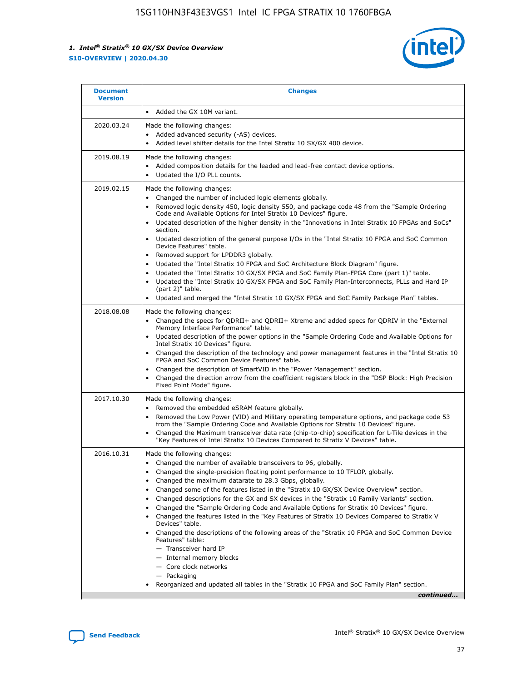

| <b>Document</b><br><b>Version</b> | <b>Changes</b>                                                                                                                                                                                                                                                                                                                                                                                                                                                                                                                                                                                                                                                                                                                                                                                                                                                                                                                                                                                 |
|-----------------------------------|------------------------------------------------------------------------------------------------------------------------------------------------------------------------------------------------------------------------------------------------------------------------------------------------------------------------------------------------------------------------------------------------------------------------------------------------------------------------------------------------------------------------------------------------------------------------------------------------------------------------------------------------------------------------------------------------------------------------------------------------------------------------------------------------------------------------------------------------------------------------------------------------------------------------------------------------------------------------------------------------|
|                                   | Added the GX 10M variant.                                                                                                                                                                                                                                                                                                                                                                                                                                                                                                                                                                                                                                                                                                                                                                                                                                                                                                                                                                      |
| 2020.03.24                        | Made the following changes:<br>Added advanced security (-AS) devices.<br>Added level shifter details for the Intel Stratix 10 SX/GX 400 device.                                                                                                                                                                                                                                                                                                                                                                                                                                                                                                                                                                                                                                                                                                                                                                                                                                                |
| 2019.08.19                        | Made the following changes:<br>Added composition details for the leaded and lead-free contact device options.<br>Updated the I/O PLL counts.                                                                                                                                                                                                                                                                                                                                                                                                                                                                                                                                                                                                                                                                                                                                                                                                                                                   |
| 2019.02.15                        | Made the following changes:<br>Changed the number of included logic elements globally.<br>Removed logic density 450, logic density 550, and package code 48 from the "Sample Ordering<br>$\bullet$<br>Code and Available Options for Intel Stratix 10 Devices" figure.<br>Updated description of the higher density in the "Innovations in Intel Stratix 10 FPGAs and SoCs"<br>section.<br>Updated description of the general purpose I/Os in the "Intel Stratix 10 FPGA and SoC Common<br>$\bullet$<br>Device Features" table.<br>Removed support for LPDDR3 globally.<br>Updated the "Intel Stratix 10 FPGA and SoC Architecture Block Diagram" figure.<br>$\bullet$<br>Updated the "Intel Stratix 10 GX/SX FPGA and SoC Family Plan-FPGA Core (part 1)" table.<br>$\bullet$<br>Updated the "Intel Stratix 10 GX/SX FPGA and SoC Family Plan-Interconnects, PLLs and Hard IP<br>(part 2)" table.<br>Updated and merged the "Intel Stratix 10 GX/SX FPGA and SoC Family Package Plan" tables. |
| 2018.08.08                        | Made the following changes:<br>Changed the specs for QDRII+ and QDRII+ Xtreme and added specs for QDRIV in the "External<br>$\bullet$<br>Memory Interface Performance" table.<br>Updated description of the power options in the "Sample Ordering Code and Available Options for<br>Intel Stratix 10 Devices" figure.<br>Changed the description of the technology and power management features in the "Intel Stratix 10<br>FPGA and SoC Common Device Features" table.<br>Changed the description of SmartVID in the "Power Management" section.<br>Changed the direction arrow from the coefficient registers block in the "DSP Block: High Precision<br>Fixed Point Mode" figure.                                                                                                                                                                                                                                                                                                          |
| 2017.10.30                        | Made the following changes:<br>Removed the embedded eSRAM feature globally.<br>$\bullet$<br>Removed the Low Power (VID) and Military operating temperature options, and package code 53<br>from the "Sample Ordering Code and Available Options for Stratix 10 Devices" figure.<br>Changed the Maximum transceiver data rate (chip-to-chip) specification for L-Tile devices in the<br>"Key Features of Intel Stratix 10 Devices Compared to Stratix V Devices" table.                                                                                                                                                                                                                                                                                                                                                                                                                                                                                                                         |
| 2016.10.31                        | Made the following changes:<br>• Changed the number of available transceivers to 96, globally.<br>Changed the single-precision floating point performance to 10 TFLOP, globally.<br>Changed the maximum datarate to 28.3 Gbps, globally.<br>Changed some of the features listed in the "Stratix 10 GX/SX Device Overview" section.<br>$\bullet$<br>Changed descriptions for the GX and SX devices in the "Stratix 10 Family Variants" section.<br>$\bullet$<br>Changed the "Sample Ordering Code and Available Options for Stratix 10 Devices" figure.<br>Changed the features listed in the "Key Features of Stratix 10 Devices Compared to Stratix V<br>Devices" table.<br>Changed the descriptions of the following areas of the "Stratix 10 FPGA and SoC Common Device<br>Features" table:<br>- Transceiver hard IP<br>- Internal memory blocks<br>- Core clock networks<br>- Packaging<br>Reorganized and updated all tables in the "Stratix 10 FPGA and SoC Family Plan" section.        |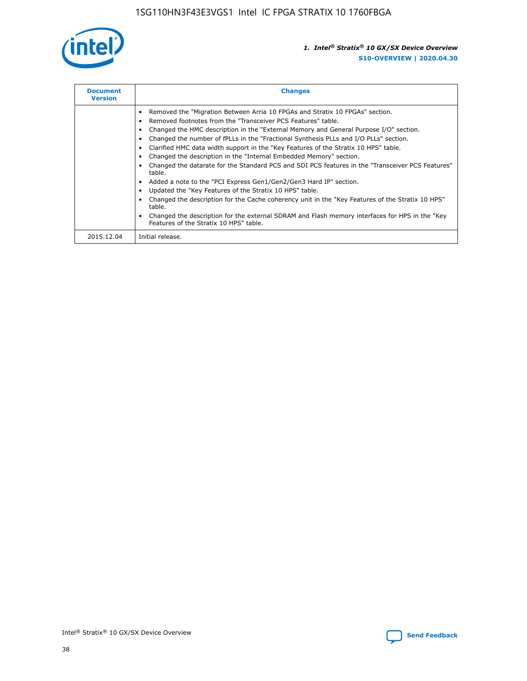

| <b>Document</b><br><b>Version</b> | <b>Changes</b>                                                                                                                                                                                                                                                                                                                                                                                                                                                                                                                                                                                                                                                                                                                                                                                                                                                                                                                                                                                      |
|-----------------------------------|-----------------------------------------------------------------------------------------------------------------------------------------------------------------------------------------------------------------------------------------------------------------------------------------------------------------------------------------------------------------------------------------------------------------------------------------------------------------------------------------------------------------------------------------------------------------------------------------------------------------------------------------------------------------------------------------------------------------------------------------------------------------------------------------------------------------------------------------------------------------------------------------------------------------------------------------------------------------------------------------------------|
|                                   | Removed the "Migration Between Arria 10 FPGAs and Stratix 10 FPGAs" section.<br>Removed footnotes from the "Transceiver PCS Features" table.<br>Changed the HMC description in the "External Memory and General Purpose I/O" section.<br>Changed the number of fPLLs in the "Fractional Synthesis PLLs and I/O PLLs" section.<br>Clarified HMC data width support in the "Key Features of the Stratix 10 HPS" table.<br>Changed the description in the "Internal Embedded Memory" section.<br>Changed the datarate for the Standard PCS and SDI PCS features in the "Transceiver PCS Features"<br>table.<br>Added a note to the "PCI Express Gen1/Gen2/Gen3 Hard IP" section.<br>Updated the "Key Features of the Stratix 10 HPS" table.<br>Changed the description for the Cache coherency unit in the "Key Features of the Stratix 10 HPS"<br>table.<br>Changed the description for the external SDRAM and Flash memory interfaces for HPS in the "Key"<br>Features of the Stratix 10 HPS" table. |
| 2015.12.04                        | Initial release.                                                                                                                                                                                                                                                                                                                                                                                                                                                                                                                                                                                                                                                                                                                                                                                                                                                                                                                                                                                    |